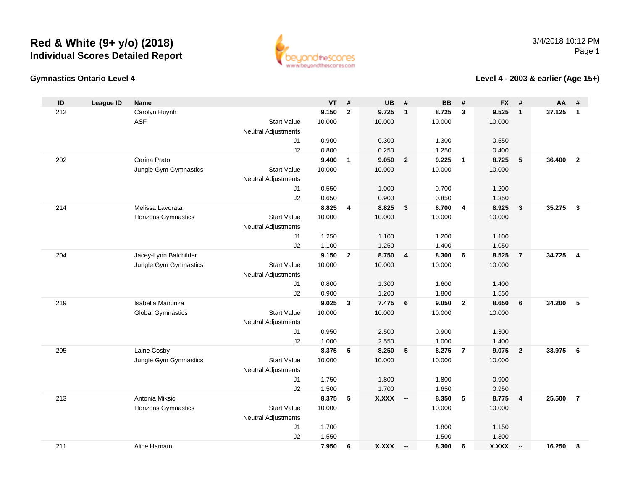

#### **Gymnastics Ontario Level 4**

**Level 4 - 2003 & earlier (Age 15+)**

| ID  | <b>League ID</b> | <b>Name</b>                                    |                            | <b>VT</b>      | $\#$                    | <b>UB</b>      | #                       | <b>BB</b>       | #                       | <b>FX</b>      | #                        | <b>AA</b> | #                       |
|-----|------------------|------------------------------------------------|----------------------------|----------------|-------------------------|----------------|-------------------------|-----------------|-------------------------|----------------|--------------------------|-----------|-------------------------|
| 212 |                  | Carolyn Huynh                                  |                            | 9.150          | $\mathbf{2}$            | 9.725          | $\overline{1}$          | 8.725           | 3                       | 9.525          | $\mathbf{1}$             | 37.125    | $\overline{1}$          |
|     |                  | <b>ASF</b>                                     | <b>Start Value</b>         | 10.000         |                         | 10.000         |                         | 10.000          |                         | 10.000         |                          |           |                         |
|     |                  |                                                | <b>Neutral Adjustments</b> |                |                         |                |                         |                 |                         |                |                          |           |                         |
|     |                  |                                                | J1                         | 0.900          |                         | 0.300          |                         | 1.300           |                         | 0.550          |                          |           |                         |
|     |                  |                                                | J2                         | 0.800          |                         | 0.250          |                         | 1.250           |                         | 0.400          |                          |           |                         |
| 202 |                  | Carina Prato                                   |                            | 9.400          | $\mathbf{1}$            | 9.050          | $\overline{\mathbf{2}}$ | 9.225           | $\mathbf{1}$            | 8.725          | $5\phantom{.0}$          | 36.400    | $\overline{2}$          |
|     |                  | Jungle Gym Gymnastics                          | <b>Start Value</b>         | 10.000         |                         | 10.000         |                         | 10.000          |                         | 10.000         |                          |           |                         |
|     |                  |                                                | <b>Neutral Adjustments</b> |                |                         |                |                         |                 |                         |                |                          |           |                         |
|     |                  |                                                | J <sub>1</sub>             | 0.550          |                         | 1.000          |                         | 0.700           |                         | 1.200          |                          |           |                         |
|     |                  |                                                | J2                         | 0.650          |                         | 0.900          |                         | 0.850           |                         | 1.350          |                          |           |                         |
| 214 |                  | Melissa Lavorata                               |                            | 8.825          | $\overline{\mathbf{4}}$ | 8.825          | $\overline{\mathbf{3}}$ | 8.700           | $\overline{\mathbf{4}}$ | 8.925          | $\overline{\mathbf{3}}$  | 35.275    | $\mathbf{3}$            |
|     |                  | Horizons Gymnastics                            | <b>Start Value</b>         | 10.000         |                         | 10.000         |                         | 10.000          |                         | 10.000         |                          |           |                         |
|     |                  |                                                | <b>Neutral Adjustments</b> |                |                         |                |                         |                 |                         |                |                          |           |                         |
|     |                  |                                                | J1                         | 1.250          |                         | 1.100          |                         | 1.200           |                         | 1.100          |                          |           |                         |
|     |                  |                                                | J2                         | 1.100<br>9.150 | $\overline{2}$          | 1.250<br>8.750 | $\overline{\mathbf{4}}$ | 1.400           | 6                       | 1.050<br>8.525 | $\overline{7}$           | 34.725    | $\overline{\mathbf{4}}$ |
| 204 |                  | Jacey-Lynn Batchilder<br>Jungle Gym Gymnastics | <b>Start Value</b>         | 10.000         |                         | 10.000         |                         | 8.300<br>10.000 |                         | 10.000         |                          |           |                         |
|     |                  |                                                | <b>Neutral Adjustments</b> |                |                         |                |                         |                 |                         |                |                          |           |                         |
|     |                  |                                                | J1                         | 0.800          |                         | 1.300          |                         | 1.600           |                         | 1.400          |                          |           |                         |
|     |                  |                                                | J2                         | 0.900          |                         | 1.200          |                         | 1.800           |                         | 1.550          |                          |           |                         |
| 219 |                  | Isabella Manunza                               |                            | 9.025          | $\mathbf{3}$            | 7.475          | $6\overline{6}$         | 9.050           | $\overline{2}$          | 8.650          | $6\phantom{1}6$          | 34.200    | $5\phantom{.0}$         |
|     |                  | <b>Global Gymnastics</b>                       | <b>Start Value</b>         | 10.000         |                         | 10.000         |                         | 10.000          |                         | 10.000         |                          |           |                         |
|     |                  |                                                | <b>Neutral Adjustments</b> |                |                         |                |                         |                 |                         |                |                          |           |                         |
|     |                  |                                                | J1                         | 0.950          |                         | 2.500          |                         | 0.900           |                         | 1.300          |                          |           |                         |
|     |                  |                                                | J2                         | 1.000          |                         | 2.550          |                         | 1.000           |                         | 1.400          |                          |           |                         |
| 205 |                  | Laine Cosby                                    |                            | 8.375          | 5                       | 8.250          | 5                       | 8.275           | $\overline{7}$          | 9.075          | $\overline{2}$           | 33.975    | 6                       |
|     |                  | Jungle Gym Gymnastics                          | <b>Start Value</b>         | 10.000         |                         | 10.000         |                         | 10.000          |                         | 10.000         |                          |           |                         |
|     |                  |                                                | <b>Neutral Adjustments</b> |                |                         |                |                         |                 |                         |                |                          |           |                         |
|     |                  |                                                | J1                         | 1.750          |                         | 1.800          |                         | 1.800           |                         | 0.900          |                          |           |                         |
|     |                  |                                                | J2                         | 1.500          |                         | 1.700          |                         | 1.650           |                         | 0.950          |                          |           |                         |
| 213 |                  | Antonia Miksic                                 |                            | 8.375          | 5                       | <b>X.XXX</b>   | - -                     | 8.350           | 5                       | 8.775          | $\overline{\mathbf{4}}$  | 25.500    | $\overline{7}$          |
|     |                  | <b>Horizons Gymnastics</b>                     | <b>Start Value</b>         | 10.000         |                         |                |                         | 10.000          |                         | 10.000         |                          |           |                         |
|     |                  |                                                | <b>Neutral Adjustments</b> |                |                         |                |                         |                 |                         |                |                          |           |                         |
|     |                  |                                                | J1                         | 1.700          |                         |                |                         | 1.800           |                         | 1.150          |                          |           |                         |
|     |                  |                                                | J2                         | 1.550          |                         |                |                         | 1.500           |                         | 1.300          |                          |           |                         |
| 211 |                  | Alice Hamam                                    |                            | 7.950          | 6                       | <b>X.XXX</b>   | $\sim$                  | 8.300           | 6                       | X.XXX          | $\overline{\phantom{a}}$ | 16.250    | 8                       |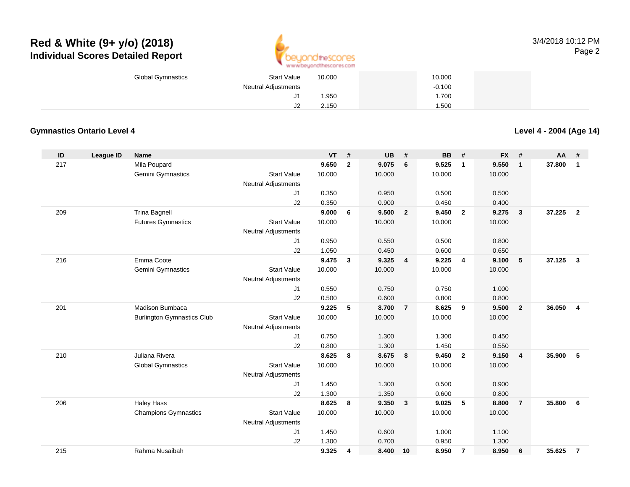

| <b>Global Gymnastics</b> | <b>Start Value</b>  | 10.000 | 10.000   |  |
|--------------------------|---------------------|--------|----------|--|
|                          | Neutral Adjustments |        | $-0.100$ |  |
|                          | J                   | 950. ا | 1.700    |  |
|                          | $\mathsf{I}$<br>JZ  | 2.150  | .500     |  |

#### **Gymnastics Ontario Level 4**

**Level 4 - 2004 (Age 14)**

| ID  | <b>League ID</b> | <b>Name</b>                       |                            | <b>VT</b> | #              | <b>UB</b> | #              | <b>BB</b> | #                       | <b>FX</b> | #              | AA     | #                       |
|-----|------------------|-----------------------------------|----------------------------|-----------|----------------|-----------|----------------|-----------|-------------------------|-----------|----------------|--------|-------------------------|
| 217 |                  | Mila Poupard                      |                            | 9.650     | $\overline{2}$ | 9.075     | 6              | 9.525     | $\overline{1}$          | 9.550     | $\mathbf{1}$   | 37.800 | $\mathbf{1}$            |
|     |                  | Gemini Gymnastics                 | <b>Start Value</b>         | 10.000    |                | 10.000    |                | 10.000    |                         | 10.000    |                |        |                         |
|     |                  |                                   | <b>Neutral Adjustments</b> |           |                |           |                |           |                         |           |                |        |                         |
|     |                  |                                   | J1                         | 0.350     |                | 0.950     |                | 0.500     |                         | 0.500     |                |        |                         |
|     |                  |                                   | J2                         | 0.350     |                | 0.900     |                | 0.450     |                         | 0.400     |                |        |                         |
| 209 |                  | <b>Trina Bagnell</b>              |                            | 9.000     | 6              | 9.500     | $\overline{2}$ | 9.450     | $\overline{\mathbf{2}}$ | 9.275     | $\mathbf{3}$   | 37.225 | $\overline{2}$          |
|     |                  | <b>Futures Gymnastics</b>         | <b>Start Value</b>         | 10.000    |                | 10.000    |                | 10.000    |                         | 10.000    |                |        |                         |
|     |                  |                                   | <b>Neutral Adjustments</b> |           |                |           |                |           |                         |           |                |        |                         |
|     |                  |                                   | J1                         | 0.950     |                | 0.550     |                | 0.500     |                         | 0.800     |                |        |                         |
|     |                  |                                   | J2                         | 1.050     |                | 0.450     |                | 0.600     |                         | 0.650     |                |        |                         |
| 216 |                  | Emma Coote                        |                            | 9.475     | 3              | 9.325     | 4              | 9.225     | $\overline{\mathbf{4}}$ | 9.100     | 5              | 37.125 | $\mathbf{3}$            |
|     |                  | Gemini Gymnastics                 | <b>Start Value</b>         | 10.000    |                | 10.000    |                | 10.000    |                         | 10.000    |                |        |                         |
|     |                  |                                   | <b>Neutral Adjustments</b> |           |                |           |                |           |                         |           |                |        |                         |
|     |                  |                                   | J1                         | 0.550     |                | 0.750     |                | 0.750     |                         | 1.000     |                |        |                         |
|     |                  |                                   | J2                         | 0.500     |                | 0.600     |                | 0.800     |                         | 0.800     |                |        |                         |
| 201 |                  | <b>Madison Bumbaca</b>            |                            | 9.225     | 5              | 8.700     | $\overline{7}$ | 8.625     | 9                       | 9.500     | $\overline{2}$ | 36.050 | $\overline{\mathbf{4}}$ |
|     |                  | <b>Burlington Gymnastics Club</b> | <b>Start Value</b>         | 10.000    |                | 10.000    |                | 10.000    |                         | 10.000    |                |        |                         |
|     |                  |                                   | <b>Neutral Adjustments</b> |           |                |           |                |           |                         |           |                |        |                         |
|     |                  |                                   | J1                         | 0.750     |                | 1.300     |                | 1.300     |                         | 0.450     |                |        |                         |
|     |                  |                                   | J2                         | 0.800     |                | 1.300     |                | 1.450     |                         | 0.550     |                |        |                         |
| 210 |                  | Juliana Rivera                    |                            | 8.625     | 8              | 8.675     | 8              | 9.450     | $\overline{2}$          | 9.150     | $\overline{4}$ | 35.900 | 5                       |
|     |                  | <b>Global Gymnastics</b>          | <b>Start Value</b>         | 10.000    |                | 10.000    |                | 10.000    |                         | 10.000    |                |        |                         |
|     |                  |                                   | <b>Neutral Adjustments</b> |           |                |           |                |           |                         |           |                |        |                         |
|     |                  |                                   | J1                         | 1.450     |                | 1.300     |                | 0.500     |                         | 0.900     |                |        |                         |
|     |                  |                                   | J2                         | 1.300     |                | 1.350     |                | 0.600     |                         | 0.800     |                |        |                         |
| 206 |                  | <b>Haley Hass</b>                 |                            | 8.625     | 8              | 9.350     | $\mathbf{3}$   | 9.025     | $5\phantom{.0}$         | 8.800     | $\overline{7}$ | 35.800 | 6                       |
|     |                  | <b>Champions Gymnastics</b>       | <b>Start Value</b>         | 10.000    |                | 10.000    |                | 10.000    |                         | 10.000    |                |        |                         |
|     |                  |                                   | <b>Neutral Adjustments</b> |           |                |           |                |           |                         |           |                |        |                         |
|     |                  |                                   | J1                         | 1.450     |                | 0.600     |                | 1.000     |                         | 1.100     |                |        |                         |
|     |                  |                                   | J2                         | 1.300     |                | 0.700     |                | 0.950     |                         | 1.300     |                |        |                         |
| 215 |                  | Rahma Nusaibah                    |                            | 9.325     | 4              | 8.400     | 10             | 8.950     | $\overline{7}$          | 8.950     | 6              | 35.625 | $\overline{7}$          |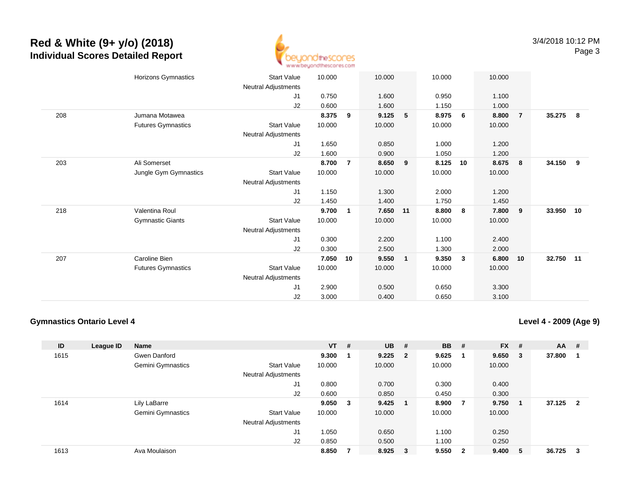

|     | Horizons Gymnastics       | <b>Start Value</b>         | 10.000 |                | 10.000   |              | 10.000 |              | 10.000 |                |        |    |
|-----|---------------------------|----------------------------|--------|----------------|----------|--------------|--------|--------------|--------|----------------|--------|----|
|     |                           | Neutral Adjustments        |        |                |          |              |        |              |        |                |        |    |
|     |                           | J1                         | 0.750  |                | 1.600    |              | 0.950  |              | 1.100  |                |        |    |
|     |                           | J2                         | 0.600  |                | 1.600    |              | 1.150  |              | 1.000  |                |        |    |
| 208 | Jumana Motawea            |                            | 8.375  | 9              | 9.125    | 5            | 8.975  | 6            | 8.800  | $\overline{7}$ | 35.275 | -8 |
|     | <b>Futures Gymnastics</b> | Start Value                | 10.000 |                | 10.000   |              | 10.000 |              | 10.000 |                |        |    |
|     |                           | Neutral Adjustments        |        |                |          |              |        |              |        |                |        |    |
|     |                           | J1                         | 1.650  |                | 0.850    |              | 1.000  |              | 1.200  |                |        |    |
|     |                           | J2                         | 1.600  |                | 0.900    |              | 1.050  |              | 1.200  |                |        |    |
| 203 | Ali Somerset              |                            | 8.700  | $\overline{7}$ | 8.650    | 9            | 8.125  | 10           | 8.675  | 8              | 34.150 | 9  |
|     | Jungle Gym Gymnastics     | <b>Start Value</b>         | 10.000 |                | 10.000   |              | 10.000 |              | 10.000 |                |        |    |
|     |                           | <b>Neutral Adjustments</b> |        |                |          |              |        |              |        |                |        |    |
|     |                           | J1                         | 1.150  |                | 1.300    |              | 2.000  |              | 1.200  |                |        |    |
|     |                           | J2                         | 1.450  |                | 1.400    |              | 1.750  |              | 1.450  |                |        |    |
| 218 | Valentina Roul            |                            | 9.700  | 1              | 7.650 11 |              | 8.800  | 8            | 7.800  | 9              | 33.950 | 10 |
|     | <b>Gymnastic Giants</b>   | <b>Start Value</b>         | 10.000 |                | 10.000   |              | 10.000 |              | 10.000 |                |        |    |
|     |                           | Neutral Adjustments        |        |                |          |              |        |              |        |                |        |    |
|     |                           | J1                         | 0.300  |                | 2.200    |              | 1.100  |              | 2.400  |                |        |    |
|     |                           | J2                         | 0.300  |                | 2.500    |              | 1.300  |              | 2.000  |                |        |    |
| 207 | Caroline Bien             |                            | 7.050  | 10             | 9.550    | $\mathbf{1}$ | 9.350  | $\mathbf{3}$ | 6.800  | 10             | 32.750 | 11 |
|     | <b>Futures Gymnastics</b> | <b>Start Value</b>         | 10.000 |                | 10.000   |              | 10.000 |              | 10.000 |                |        |    |
|     |                           | Neutral Adjustments        |        |                |          |              |        |              |        |                |        |    |
|     |                           | J1                         | 2.900  |                | 0.500    |              | 0.650  |              | 3.300  |                |        |    |
|     |                           | J <sub>2</sub>             | 3.000  |                | 0.400    |              | 0.650  |              | 3.100  |                |        |    |
|     |                           |                            |        |                |          |              |        |              |        |                |        |    |

#### **Gymnastics Ontario Level 4**

**Level 4 - 2009 (Age 9)**

| ID   | <b>League ID</b> | Name              |                            | $VT$ # |     | <b>UB</b> | #                       | <b>BB</b> | #   | <b>FX</b> | #  | <b>AA</b> | #                       |
|------|------------------|-------------------|----------------------------|--------|-----|-----------|-------------------------|-----------|-----|-----------|----|-----------|-------------------------|
| 1615 |                  | Gwen Danford      |                            | 9.300  |     | $9.225$ 2 |                         | 9.625     |     | 9.650     | -3 | 37.800    |                         |
|      |                  | Gemini Gymnastics | <b>Start Value</b>         | 10.000 |     | 10.000    |                         | 10.000    |     | 10.000    |    |           |                         |
|      |                  |                   | <b>Neutral Adjustments</b> |        |     |           |                         |           |     |           |    |           |                         |
|      |                  |                   | J1                         | 0.800  |     | 0.700     |                         | 0.300     |     | 0.400     |    |           |                         |
|      |                  |                   | J2                         | 0.600  |     | 0.850     |                         | 0.450     |     | 0.300     |    |           |                         |
| 1614 |                  | Lily LaBarre      |                            | 9.050  | - 3 | 9.425     |                         | 8.900     | - 7 | 9.750     |    | 37.125    | $\overline{\mathbf{2}}$ |
|      |                  | Gemini Gymnastics | <b>Start Value</b>         | 10.000 |     | 10.000    |                         | 10.000    |     | 10.000    |    |           |                         |
|      |                  |                   | <b>Neutral Adjustments</b> |        |     |           |                         |           |     |           |    |           |                         |
|      |                  |                   | J1                         | 1.050  |     | 0.650     |                         | 1.100     |     | 0.250     |    |           |                         |
|      |                  |                   | J <sub>2</sub>             | 0.850  |     | 0.500     |                         | 1.100     |     | 0.250     |    |           |                         |
| 1613 |                  | Ava Moulaison     |                            | 8.850  |     | 8.925     | $\overline{\mathbf{3}}$ | 9.550     | - 2 | 9.400     | 5  | 36.725    | 3                       |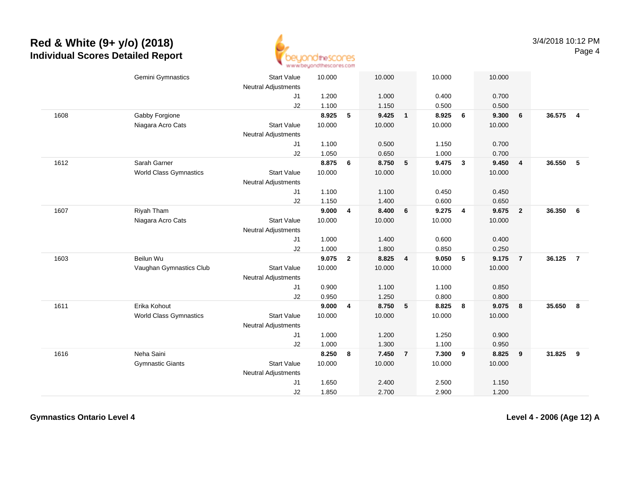

| Gemini Gymnastics<br><b>Start Value</b><br>10.000<br>10.000<br>10.000<br>10.000<br><b>Neutral Adjustments</b><br>1.200<br>J <sub>1</sub><br>1.000<br>0.400<br>0.700<br>J2<br>1.100<br>1.150<br>0.500<br>0.500<br>8.925<br>5<br>9.425<br>8.925<br>6<br>9.300<br>6<br>1608<br>Gabby Forgione<br>$\mathbf{1}$<br>Niagara Acro Cats<br><b>Start Value</b><br>10.000<br>10.000<br>10.000<br>10.000<br>Neutral Adjustments<br>1.100<br>0.500<br>1.150<br>0.700<br>J1<br>J2<br>1.050<br>0.650<br>1.000<br>0.700<br>1612<br>Sarah Garner<br>8.875<br>6<br>8.750<br>5<br>9.475<br>$\overline{\mathbf{3}}$<br>9.450<br>$\overline{4}$<br><b>World Class Gymnastics</b><br><b>Start Value</b><br>10.000<br>10.000<br>10.000<br>10.000<br>Neutral Adjustments<br>1.100<br>1.100<br>0.450<br>0.450<br>J1<br>J2<br>1.150<br>1.400<br>0.600<br>0.650<br>9.000<br>9.275<br>Riyah Tham<br>8.400<br>9.675<br>1607<br>4<br>6<br>$\overline{4}$<br>$\overline{2}$<br>Niagara Acro Cats<br><b>Start Value</b><br>10.000<br>10.000<br>10.000<br>10.000<br><b>Neutral Adjustments</b><br>1.000<br>1.400<br>0.400<br>J1<br>0.600<br>J2<br>1.000<br>1.800<br>0.850<br>0.250<br>Beilun Wu<br>1603<br>9.075<br>$\overline{2}$<br>8.825<br>9.050<br>5<br>9.175<br>$\overline{4}$<br>$\overline{7}$<br>Vaughan Gymnastics Club<br><b>Start Value</b><br>10.000<br>10.000<br>10.000<br>10.000<br><b>Neutral Adjustments</b><br>0.900<br>1.100<br>1.100<br>0.850<br>J1<br>J2<br>0.950<br>1.250<br>0.800<br>0.800<br>1611<br>Erika Kohout<br>9.000<br>8.750<br>8.825<br>8<br>9.075<br>4<br>5<br>- 8<br><b>Start Value</b><br><b>World Class Gymnastics</b><br>10.000<br>10.000<br>10.000<br>10.000<br>Neutral Adjustments<br>1.000<br>1.200<br>1.250<br>0.900<br>J1<br>1.000<br>1.300<br>1.100<br>J2<br>0.950<br>Neha Saini<br>1616<br>8.250<br>$\overline{\mathbf{9}}$<br>8<br>7.450<br>$\overline{7}$<br>7.300<br>8.825<br>9<br><b>Start Value</b><br><b>Gymnastic Giants</b><br>10.000<br>10.000<br>10.000<br>10.000 |  |                     |  |  |  |  |        |                 |
|-----------------------------------------------------------------------------------------------------------------------------------------------------------------------------------------------------------------------------------------------------------------------------------------------------------------------------------------------------------------------------------------------------------------------------------------------------------------------------------------------------------------------------------------------------------------------------------------------------------------------------------------------------------------------------------------------------------------------------------------------------------------------------------------------------------------------------------------------------------------------------------------------------------------------------------------------------------------------------------------------------------------------------------------------------------------------------------------------------------------------------------------------------------------------------------------------------------------------------------------------------------------------------------------------------------------------------------------------------------------------------------------------------------------------------------------------------------------------------------------------------------------------------------------------------------------------------------------------------------------------------------------------------------------------------------------------------------------------------------------------------------------------------------------------------------------------------------------------------------------------------------------------------------------------------------------------------------------------------------------|--|---------------------|--|--|--|--|--------|-----------------|
|                                                                                                                                                                                                                                                                                                                                                                                                                                                                                                                                                                                                                                                                                                                                                                                                                                                                                                                                                                                                                                                                                                                                                                                                                                                                                                                                                                                                                                                                                                                                                                                                                                                                                                                                                                                                                                                                                                                                                                                         |  |                     |  |  |  |  |        |                 |
|                                                                                                                                                                                                                                                                                                                                                                                                                                                                                                                                                                                                                                                                                                                                                                                                                                                                                                                                                                                                                                                                                                                                                                                                                                                                                                                                                                                                                                                                                                                                                                                                                                                                                                                                                                                                                                                                                                                                                                                         |  |                     |  |  |  |  |        |                 |
|                                                                                                                                                                                                                                                                                                                                                                                                                                                                                                                                                                                                                                                                                                                                                                                                                                                                                                                                                                                                                                                                                                                                                                                                                                                                                                                                                                                                                                                                                                                                                                                                                                                                                                                                                                                                                                                                                                                                                                                         |  |                     |  |  |  |  |        |                 |
|                                                                                                                                                                                                                                                                                                                                                                                                                                                                                                                                                                                                                                                                                                                                                                                                                                                                                                                                                                                                                                                                                                                                                                                                                                                                                                                                                                                                                                                                                                                                                                                                                                                                                                                                                                                                                                                                                                                                                                                         |  |                     |  |  |  |  | 36.575 | $\overline{4}$  |
|                                                                                                                                                                                                                                                                                                                                                                                                                                                                                                                                                                                                                                                                                                                                                                                                                                                                                                                                                                                                                                                                                                                                                                                                                                                                                                                                                                                                                                                                                                                                                                                                                                                                                                                                                                                                                                                                                                                                                                                         |  |                     |  |  |  |  |        |                 |
|                                                                                                                                                                                                                                                                                                                                                                                                                                                                                                                                                                                                                                                                                                                                                                                                                                                                                                                                                                                                                                                                                                                                                                                                                                                                                                                                                                                                                                                                                                                                                                                                                                                                                                                                                                                                                                                                                                                                                                                         |  |                     |  |  |  |  |        |                 |
|                                                                                                                                                                                                                                                                                                                                                                                                                                                                                                                                                                                                                                                                                                                                                                                                                                                                                                                                                                                                                                                                                                                                                                                                                                                                                                                                                                                                                                                                                                                                                                                                                                                                                                                                                                                                                                                                                                                                                                                         |  |                     |  |  |  |  |        |                 |
|                                                                                                                                                                                                                                                                                                                                                                                                                                                                                                                                                                                                                                                                                                                                                                                                                                                                                                                                                                                                                                                                                                                                                                                                                                                                                                                                                                                                                                                                                                                                                                                                                                                                                                                                                                                                                                                                                                                                                                                         |  |                     |  |  |  |  |        |                 |
|                                                                                                                                                                                                                                                                                                                                                                                                                                                                                                                                                                                                                                                                                                                                                                                                                                                                                                                                                                                                                                                                                                                                                                                                                                                                                                                                                                                                                                                                                                                                                                                                                                                                                                                                                                                                                                                                                                                                                                                         |  |                     |  |  |  |  | 36.550 | 5               |
|                                                                                                                                                                                                                                                                                                                                                                                                                                                                                                                                                                                                                                                                                                                                                                                                                                                                                                                                                                                                                                                                                                                                                                                                                                                                                                                                                                                                                                                                                                                                                                                                                                                                                                                                                                                                                                                                                                                                                                                         |  |                     |  |  |  |  |        |                 |
|                                                                                                                                                                                                                                                                                                                                                                                                                                                                                                                                                                                                                                                                                                                                                                                                                                                                                                                                                                                                                                                                                                                                                                                                                                                                                                                                                                                                                                                                                                                                                                                                                                                                                                                                                                                                                                                                                                                                                                                         |  |                     |  |  |  |  |        |                 |
|                                                                                                                                                                                                                                                                                                                                                                                                                                                                                                                                                                                                                                                                                                                                                                                                                                                                                                                                                                                                                                                                                                                                                                                                                                                                                                                                                                                                                                                                                                                                                                                                                                                                                                                                                                                                                                                                                                                                                                                         |  |                     |  |  |  |  |        |                 |
|                                                                                                                                                                                                                                                                                                                                                                                                                                                                                                                                                                                                                                                                                                                                                                                                                                                                                                                                                                                                                                                                                                                                                                                                                                                                                                                                                                                                                                                                                                                                                                                                                                                                                                                                                                                                                                                                                                                                                                                         |  |                     |  |  |  |  |        |                 |
|                                                                                                                                                                                                                                                                                                                                                                                                                                                                                                                                                                                                                                                                                                                                                                                                                                                                                                                                                                                                                                                                                                                                                                                                                                                                                                                                                                                                                                                                                                                                                                                                                                                                                                                                                                                                                                                                                                                                                                                         |  |                     |  |  |  |  | 36.350 | $6\overline{6}$ |
|                                                                                                                                                                                                                                                                                                                                                                                                                                                                                                                                                                                                                                                                                                                                                                                                                                                                                                                                                                                                                                                                                                                                                                                                                                                                                                                                                                                                                                                                                                                                                                                                                                                                                                                                                                                                                                                                                                                                                                                         |  |                     |  |  |  |  |        |                 |
|                                                                                                                                                                                                                                                                                                                                                                                                                                                                                                                                                                                                                                                                                                                                                                                                                                                                                                                                                                                                                                                                                                                                                                                                                                                                                                                                                                                                                                                                                                                                                                                                                                                                                                                                                                                                                                                                                                                                                                                         |  |                     |  |  |  |  |        |                 |
|                                                                                                                                                                                                                                                                                                                                                                                                                                                                                                                                                                                                                                                                                                                                                                                                                                                                                                                                                                                                                                                                                                                                                                                                                                                                                                                                                                                                                                                                                                                                                                                                                                                                                                                                                                                                                                                                                                                                                                                         |  |                     |  |  |  |  |        |                 |
|                                                                                                                                                                                                                                                                                                                                                                                                                                                                                                                                                                                                                                                                                                                                                                                                                                                                                                                                                                                                                                                                                                                                                                                                                                                                                                                                                                                                                                                                                                                                                                                                                                                                                                                                                                                                                                                                                                                                                                                         |  |                     |  |  |  |  |        |                 |
|                                                                                                                                                                                                                                                                                                                                                                                                                                                                                                                                                                                                                                                                                                                                                                                                                                                                                                                                                                                                                                                                                                                                                                                                                                                                                                                                                                                                                                                                                                                                                                                                                                                                                                                                                                                                                                                                                                                                                                                         |  |                     |  |  |  |  | 36.125 | $\overline{7}$  |
|                                                                                                                                                                                                                                                                                                                                                                                                                                                                                                                                                                                                                                                                                                                                                                                                                                                                                                                                                                                                                                                                                                                                                                                                                                                                                                                                                                                                                                                                                                                                                                                                                                                                                                                                                                                                                                                                                                                                                                                         |  |                     |  |  |  |  |        |                 |
|                                                                                                                                                                                                                                                                                                                                                                                                                                                                                                                                                                                                                                                                                                                                                                                                                                                                                                                                                                                                                                                                                                                                                                                                                                                                                                                                                                                                                                                                                                                                                                                                                                                                                                                                                                                                                                                                                                                                                                                         |  |                     |  |  |  |  |        |                 |
|                                                                                                                                                                                                                                                                                                                                                                                                                                                                                                                                                                                                                                                                                                                                                                                                                                                                                                                                                                                                                                                                                                                                                                                                                                                                                                                                                                                                                                                                                                                                                                                                                                                                                                                                                                                                                                                                                                                                                                                         |  |                     |  |  |  |  |        |                 |
|                                                                                                                                                                                                                                                                                                                                                                                                                                                                                                                                                                                                                                                                                                                                                                                                                                                                                                                                                                                                                                                                                                                                                                                                                                                                                                                                                                                                                                                                                                                                                                                                                                                                                                                                                                                                                                                                                                                                                                                         |  |                     |  |  |  |  |        |                 |
|                                                                                                                                                                                                                                                                                                                                                                                                                                                                                                                                                                                                                                                                                                                                                                                                                                                                                                                                                                                                                                                                                                                                                                                                                                                                                                                                                                                                                                                                                                                                                                                                                                                                                                                                                                                                                                                                                                                                                                                         |  |                     |  |  |  |  | 35.650 | 8               |
|                                                                                                                                                                                                                                                                                                                                                                                                                                                                                                                                                                                                                                                                                                                                                                                                                                                                                                                                                                                                                                                                                                                                                                                                                                                                                                                                                                                                                                                                                                                                                                                                                                                                                                                                                                                                                                                                                                                                                                                         |  |                     |  |  |  |  |        |                 |
|                                                                                                                                                                                                                                                                                                                                                                                                                                                                                                                                                                                                                                                                                                                                                                                                                                                                                                                                                                                                                                                                                                                                                                                                                                                                                                                                                                                                                                                                                                                                                                                                                                                                                                                                                                                                                                                                                                                                                                                         |  |                     |  |  |  |  |        |                 |
|                                                                                                                                                                                                                                                                                                                                                                                                                                                                                                                                                                                                                                                                                                                                                                                                                                                                                                                                                                                                                                                                                                                                                                                                                                                                                                                                                                                                                                                                                                                                                                                                                                                                                                                                                                                                                                                                                                                                                                                         |  |                     |  |  |  |  |        |                 |
|                                                                                                                                                                                                                                                                                                                                                                                                                                                                                                                                                                                                                                                                                                                                                                                                                                                                                                                                                                                                                                                                                                                                                                                                                                                                                                                                                                                                                                                                                                                                                                                                                                                                                                                                                                                                                                                                                                                                                                                         |  |                     |  |  |  |  |        |                 |
|                                                                                                                                                                                                                                                                                                                                                                                                                                                                                                                                                                                                                                                                                                                                                                                                                                                                                                                                                                                                                                                                                                                                                                                                                                                                                                                                                                                                                                                                                                                                                                                                                                                                                                                                                                                                                                                                                                                                                                                         |  |                     |  |  |  |  | 31.825 | 9               |
|                                                                                                                                                                                                                                                                                                                                                                                                                                                                                                                                                                                                                                                                                                                                                                                                                                                                                                                                                                                                                                                                                                                                                                                                                                                                                                                                                                                                                                                                                                                                                                                                                                                                                                                                                                                                                                                                                                                                                                                         |  |                     |  |  |  |  |        |                 |
|                                                                                                                                                                                                                                                                                                                                                                                                                                                                                                                                                                                                                                                                                                                                                                                                                                                                                                                                                                                                                                                                                                                                                                                                                                                                                                                                                                                                                                                                                                                                                                                                                                                                                                                                                                                                                                                                                                                                                                                         |  | Neutral Adjustments |  |  |  |  |        |                 |
| 1.650<br>2.400<br>2.500<br>1.150<br>J1                                                                                                                                                                                                                                                                                                                                                                                                                                                                                                                                                                                                                                                                                                                                                                                                                                                                                                                                                                                                                                                                                                                                                                                                                                                                                                                                                                                                                                                                                                                                                                                                                                                                                                                                                                                                                                                                                                                                                  |  |                     |  |  |  |  |        |                 |
| J2<br>1.850<br>2.700<br>2.900<br>1.200                                                                                                                                                                                                                                                                                                                                                                                                                                                                                                                                                                                                                                                                                                                                                                                                                                                                                                                                                                                                                                                                                                                                                                                                                                                                                                                                                                                                                                                                                                                                                                                                                                                                                                                                                                                                                                                                                                                                                  |  |                     |  |  |  |  |        |                 |

**Gymnastics Ontario Level 4**

**Level 4 - 2006 (Age 12) A**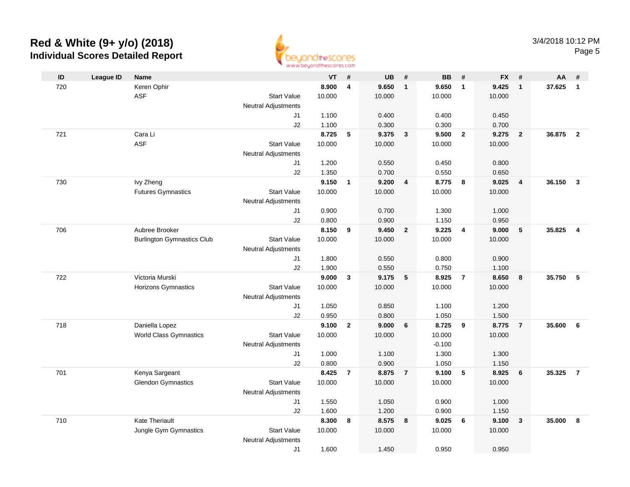

| ID  | <b>League ID</b> | Name                              |                            | VT             | #              | <b>UB</b>      | #                       | <b>BB</b>      | #                       | <b>FX</b>      | #               | AA     | #              |
|-----|------------------|-----------------------------------|----------------------------|----------------|----------------|----------------|-------------------------|----------------|-------------------------|----------------|-----------------|--------|----------------|
| 720 |                  | Keren Ophir                       |                            | 8.900          | $\overline{4}$ | 9.650          | $\overline{1}$          | 9.650          | $\overline{1}$          | 9.425          | $\overline{1}$  | 37.625 | $\mathbf{1}$   |
|     |                  | <b>ASF</b>                        | <b>Start Value</b>         | 10.000         |                | 10.000         |                         | 10.000         |                         | 10.000         |                 |        |                |
|     |                  |                                   | <b>Neutral Adjustments</b> |                |                |                |                         |                |                         |                |                 |        |                |
|     |                  |                                   | J1                         | 1.100          |                | 0.400          |                         | 0.400          |                         | 0.450          |                 |        |                |
|     |                  |                                   | J2                         | 1.100          |                | 0.300          |                         | 0.300          |                         | 0.700          |                 |        |                |
| 721 |                  | Cara Li                           |                            | 8.725          | $\sqrt{5}$     | 9.375          | $\overline{\mathbf{3}}$ | 9.500          | $\overline{\mathbf{2}}$ | 9.275          | $\overline{2}$  | 36.875 | $\overline{2}$ |
|     |                  | <b>ASF</b>                        | <b>Start Value</b>         | 10.000         |                | 10.000         |                         | 10.000         |                         | 10.000         |                 |        |                |
|     |                  |                                   | <b>Neutral Adjustments</b> |                |                |                |                         |                |                         |                |                 |        |                |
|     |                  |                                   | J1                         | 1.200          |                | 0.550          |                         | 0.450          |                         | 0.800          |                 |        |                |
|     |                  |                                   | J2                         | 1.350          |                | 0.700          |                         | 0.550          |                         | 0.650          |                 |        |                |
| 730 |                  | Ivy Zheng                         |                            | 9.150          | $\mathbf{1}$   | 9.200          | $\overline{\mathbf{4}}$ | 8.775          | 8                       | 9.025          | $\overline{4}$  | 36.150 | $\overline{3}$ |
|     |                  | <b>Futures Gymnastics</b>         | <b>Start Value</b>         | 10.000         |                | 10.000         |                         | 10.000         |                         | 10.000         |                 |        |                |
|     |                  |                                   | Neutral Adjustments        |                |                |                |                         |                |                         |                |                 |        |                |
|     |                  |                                   | J1                         | 0.900          |                | 0.700          |                         | 1.300          |                         | 1.000          |                 |        |                |
|     |                  |                                   | J2                         | 0.800          |                | 0.900          |                         | 1.150          |                         | 0.950          |                 |        |                |
| 706 |                  | Aubree Brooker                    |                            | 8.150          | 9              | 9.450          | $\overline{2}$          | 9.225          | $\overline{4}$          | 9.000          | 5               | 35.825 | $\overline{4}$ |
|     |                  | <b>Burlington Gymnastics Club</b> | <b>Start Value</b>         | 10.000         |                | 10.000         |                         | 10.000         |                         | 10.000         |                 |        |                |
|     |                  |                                   | <b>Neutral Adjustments</b> |                |                |                |                         |                |                         |                |                 |        |                |
|     |                  |                                   | J1                         | 1.800          |                | 0.550<br>0.550 |                         | 0.800<br>0.750 |                         | 0.900          |                 |        |                |
| 722 |                  | Victoria Murski                   | J2                         | 1.900<br>9.000 | $\mathbf{3}$   | 9.175          | 5                       | 8.925          | $\overline{7}$          | 1.100<br>8.650 |                 | 35.750 | 5              |
|     |                  | <b>Horizons Gymnastics</b>        | <b>Start Value</b>         | 10.000         |                | 10.000         |                         | 10.000         |                         | 10.000         | 8               |        |                |
|     |                  |                                   | Neutral Adjustments        |                |                |                |                         |                |                         |                |                 |        |                |
|     |                  |                                   | J1                         | 1.050          |                | 0.850          |                         | 1.100          |                         | 1.200          |                 |        |                |
|     |                  |                                   | J2                         | 0.950          |                | 0.800          |                         | 1.050          |                         | 1.500          |                 |        |                |
| 718 |                  | Daniella Lopez                    |                            | 9.100          | $\overline{2}$ | 9.000          | 6                       | 8.725          | - 9                     | 8.775          | $\overline{7}$  | 35.600 | 6              |
|     |                  | <b>World Class Gymnastics</b>     | <b>Start Value</b>         | 10.000         |                | 10.000         |                         | 10.000         |                         | 10.000         |                 |        |                |
|     |                  |                                   | Neutral Adjustments        |                |                |                |                         | $-0.100$       |                         |                |                 |        |                |
|     |                  |                                   | J1                         | 1.000          |                | 1.100          |                         | 1.300          |                         | 1.300          |                 |        |                |
|     |                  |                                   | J2                         | 0.800          |                | 0.900          |                         | 1.050          |                         | 1.150          |                 |        |                |
| 701 |                  | Kenya Sargeant                    |                            | 8.425          | $\overline{7}$ | 8.875          | $\overline{7}$          | 9.100          | 5                       | 8.925          | $6\phantom{1}6$ | 35.325 | $\overline{7}$ |
|     |                  | <b>Glendon Gymnastics</b>         | <b>Start Value</b>         | 10.000         |                | 10.000         |                         | 10.000         |                         | 10.000         |                 |        |                |
|     |                  |                                   | <b>Neutral Adjustments</b> |                |                |                |                         |                |                         |                |                 |        |                |
|     |                  |                                   | J1                         | 1.550          |                | 1.050          |                         | 0.900          |                         | 1.000          |                 |        |                |
|     |                  |                                   | J2                         | 1.600          |                | 1.200          |                         | 0.900          |                         | 1.150          |                 |        |                |
| 710 |                  | <b>Kate Theriault</b>             |                            | 8.300          | 8              | 8.575          | 8                       | 9.025          | 6                       | 9.100          | $\mathbf{3}$    | 35.000 | 8              |
|     |                  | Jungle Gym Gymnastics             | <b>Start Value</b>         | 10.000         |                | 10.000         |                         | 10.000         |                         | 10.000         |                 |        |                |
|     |                  |                                   | <b>Neutral Adjustments</b> |                |                |                |                         |                |                         |                |                 |        |                |
|     |                  |                                   | J1                         | 1.600          |                | 1.450          |                         | 0.950          |                         | 0.950          |                 |        |                |
|     |                  |                                   |                            |                |                |                |                         |                |                         |                |                 |        |                |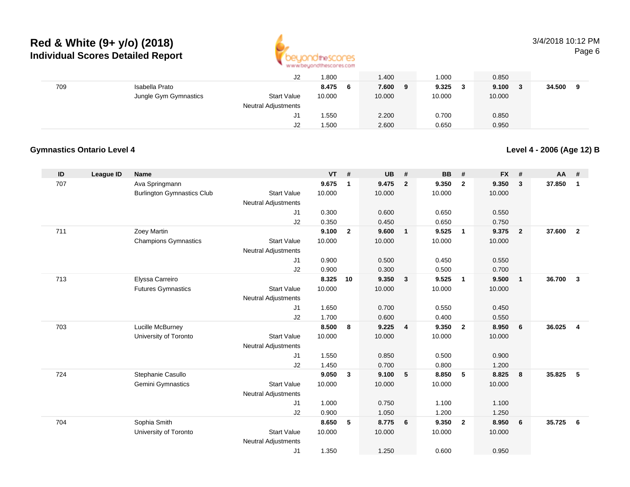

#### 3/4/2018 10:12 PMPage 6

|     |                       | J <sub>2</sub>      | .800   |     | 1.400  |   | .000   | 0.850  |     |        |   |
|-----|-----------------------|---------------------|--------|-----|--------|---|--------|--------|-----|--------|---|
| 709 | Isabella Prato        |                     | 8.475  | - 6 | 7.600  | 9 | 9.325  | 9.100  | - 3 | 34.500 | 9 |
|     | Jungle Gym Gymnastics | <b>Start Value</b>  | 10.000 |     | 10.000 |   | 10.000 | 10.000 |     |        |   |
|     |                       | Neutral Adjustments |        |     |        |   |        |        |     |        |   |
|     |                       | J1                  | 1.550  |     | 2.200  |   | 0.700  | 0.850  |     |        |   |
|     |                       | J2                  | i .500 |     | 2.600  |   | 0.650  | 0.950  |     |        |   |

#### **Gymnastics Ontario Level 4**

**Level 4 - 2006 (Age 12) B**

| ID  | <b>League ID</b> | <b>Name</b>                       |                                  | <b>VT</b>      | #            | <b>UB</b> | #              | <b>BB</b> | #               | <b>FX</b> | #                       | AA     | #              |
|-----|------------------|-----------------------------------|----------------------------------|----------------|--------------|-----------|----------------|-----------|-----------------|-----------|-------------------------|--------|----------------|
| 707 |                  | Ava Springmann                    |                                  | 9.675          | $\mathbf{1}$ | 9.475     | $\overline{2}$ | 9.350     | $\overline{2}$  | 9.350     | 3                       | 37.850 | $\mathbf{1}$   |
|     |                  | <b>Burlington Gymnastics Club</b> | <b>Start Value</b>               | 10.000         |              | 10.000    |                | 10.000    |                 | 10.000    |                         |        |                |
|     |                  |                                   | <b>Neutral Adjustments</b>       |                |              |           |                |           |                 |           |                         |        |                |
|     |                  |                                   | J1                               | 0.300          |              | 0.600     |                | 0.650     |                 | 0.550     |                         |        |                |
|     |                  |                                   | J2                               | 0.350          |              | 0.450     |                | 0.650     |                 | 0.750     |                         |        |                |
| 711 |                  | Zoey Martin                       |                                  | 9.100          | $\mathbf{2}$ | 9.600     | $\mathbf{1}$   | 9.525     | $\mathbf{1}$    | 9.375     | $\overline{\mathbf{2}}$ | 37.600 | $\overline{2}$ |
|     |                  | <b>Champions Gymnastics</b>       | <b>Start Value</b>               | 10.000         |              | 10.000    |                | 10.000    |                 | 10.000    |                         |        |                |
|     |                  |                                   | <b>Neutral Adjustments</b>       |                |              |           |                |           |                 |           |                         |        |                |
|     |                  |                                   | J1                               | 0.900          |              | 0.500     |                | 0.450     |                 | 0.550     |                         |        |                |
|     |                  |                                   | J2                               | 0.900          |              | 0.300     |                | 0.500     |                 | 0.700     |                         |        |                |
| 713 |                  | Elyssa Carreiro                   |                                  | 8.325          | 10           | 9.350     | $\mathbf{3}$   | 9.525     | $\overline{1}$  | 9.500     | $\overline{1}$          | 36.700 | $\mathbf{3}$   |
|     |                  | <b>Futures Gymnastics</b>         | <b>Start Value</b>               | 10.000         |              | 10.000    |                | 10.000    |                 | 10.000    |                         |        |                |
|     |                  |                                   | <b>Neutral Adjustments</b>       |                |              |           |                |           |                 |           |                         |        |                |
|     |                  |                                   | J1                               | 1.650          |              | 0.700     |                | 0.550     |                 | 0.450     |                         |        |                |
|     |                  |                                   | J2                               | 1.700<br>8.500 |              | 0.600     |                | 0.400     |                 | 0.550     |                         |        |                |
| 703 |                  | Lucille McBurney                  | <b>Start Value</b>               | 10.000         | 8            | 9.225     | $\overline{4}$ | 9.350     | $\overline{2}$  | 8.950     | 6                       | 36.025 | $\overline{4}$ |
|     |                  | University of Toronto             |                                  |                |              | 10.000    |                | 10.000    |                 | 10.000    |                         |        |                |
|     |                  |                                   | <b>Neutral Adjustments</b><br>J1 | 1.550          |              | 0.850     |                | 0.500     |                 | 0.900     |                         |        |                |
|     |                  |                                   | J2                               | 1.450          |              | 0.700     |                | 0.800     |                 | 1.200     |                         |        |                |
| 724 |                  | Stephanie Casullo                 |                                  | 9.050          | 3            | 9.100     | 5              | 8.850     | $5\phantom{.0}$ | 8.825     | 8                       | 35.825 | - 5            |
|     |                  | Gemini Gymnastics                 | <b>Start Value</b>               | 10.000         |              | 10.000    |                | 10.000    |                 | 10.000    |                         |        |                |
|     |                  |                                   | <b>Neutral Adjustments</b>       |                |              |           |                |           |                 |           |                         |        |                |
|     |                  |                                   | J1                               | 1.000          |              | 0.750     |                | 1.100     |                 | 1.100     |                         |        |                |
|     |                  |                                   | J2                               | 0.900          |              | 1.050     |                | 1.200     |                 | 1.250     |                         |        |                |
| 704 |                  | Sophia Smith                      |                                  | 8.650          | 5            | 8.775     | 6              | 9.350     | $\overline{2}$  | 8.950     | 6                       | 35.725 | 6              |
|     |                  | University of Toronto             | <b>Start Value</b>               | 10.000         |              | 10.000    |                | 10.000    |                 | 10.000    |                         |        |                |
|     |                  |                                   | <b>Neutral Adjustments</b>       |                |              |           |                |           |                 |           |                         |        |                |
|     |                  |                                   | J1                               | 1.350          |              | 1.250     |                | 0.600     |                 | 0.950     |                         |        |                |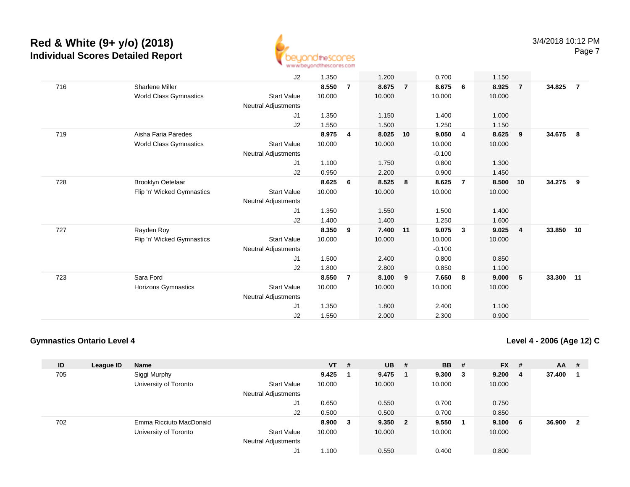

|     |                               | J2                         | 1.350  |                | 1.200    |                | 0.700    |                | 1.150  |                |        |                |
|-----|-------------------------------|----------------------------|--------|----------------|----------|----------------|----------|----------------|--------|----------------|--------|----------------|
| 716 | <b>Sharlene Miller</b>        |                            | 8.550  | $\overline{7}$ | 8.675    | $\overline{7}$ | 8.675    | - 6            | 8.925  | $\overline{7}$ | 34.825 | $\overline{7}$ |
|     | <b>World Class Gymnastics</b> | <b>Start Value</b>         | 10.000 |                | 10.000   |                | 10.000   |                | 10.000 |                |        |                |
|     |                               | <b>Neutral Adjustments</b> |        |                |          |                |          |                |        |                |        |                |
|     |                               | J1                         | 1.350  |                | 1.150    |                | 1.400    |                | 1.000  |                |        |                |
|     |                               | J2                         | 1.550  |                | 1.500    |                | 1.250    |                | 1.150  |                |        |                |
| 719 | Aisha Faria Paredes           |                            | 8.975  | 4              | 8.025    | 10             | 9.050    | $\overline{4}$ | 8.625  | 9              | 34.675 | - 8            |
|     | World Class Gymnastics        | <b>Start Value</b>         | 10.000 |                | 10.000   |                | 10.000   |                | 10.000 |                |        |                |
|     |                               | Neutral Adjustments        |        |                |          |                | $-0.100$ |                |        |                |        |                |
|     |                               | J1                         | 1.100  |                | 1.750    |                | 0.800    |                | 1.300  |                |        |                |
|     |                               | J2                         | 0.950  |                | 2.200    |                | 0.900    |                | 1.450  |                |        |                |
| 728 | <b>Brooklyn Oetelaar</b>      |                            | 8.625  | 6              | 8.525    | 8              | 8.625    | $\overline{7}$ | 8.500  | 10             | 34.275 | - 9            |
|     | Flip 'n' Wicked Gymnastics    | <b>Start Value</b>         | 10.000 |                | 10.000   |                | 10.000   |                | 10.000 |                |        |                |
|     |                               | Neutral Adjustments        |        |                |          |                |          |                |        |                |        |                |
|     |                               | J1                         | 1.350  |                | 1.550    |                | 1.500    |                | 1.400  |                |        |                |
|     |                               | J2                         | 1.400  |                | 1.400    |                | 1.250    |                | 1.600  |                |        |                |
| 727 | Rayden Roy                    |                            | 8.350  | 9              | 7.400 11 |                | 9.075    | $\mathbf{3}$   | 9.025  | $\overline{4}$ | 33.850 | 10             |
|     | Flip 'n' Wicked Gymnastics    | <b>Start Value</b>         | 10.000 |                | 10.000   |                | 10.000   |                | 10.000 |                |        |                |
|     |                               | Neutral Adjustments        |        |                |          |                | $-0.100$ |                |        |                |        |                |
|     |                               | J1                         | 1.500  |                | 2.400    |                | 0.800    |                | 0.850  |                |        |                |
|     |                               | J2                         | 1.800  |                | 2.800    |                | 0.850    |                | 1.100  |                |        |                |
| 723 | Sara Ford                     |                            | 8.550  | $\overline{7}$ | 8.100    | 9              | 7.650    | 8              | 9.000  | 5              | 33.300 | 11             |
|     | <b>Horizons Gymnastics</b>    | <b>Start Value</b>         | 10.000 |                | 10.000   |                | 10.000   |                | 10.000 |                |        |                |
|     |                               | <b>Neutral Adjustments</b> |        |                |          |                |          |                |        |                |        |                |
|     |                               | J1                         | 1.350  |                | 1.800    |                | 2.400    |                | 1.100  |                |        |                |
|     |                               | J2                         | 1.550  |                | 2.000    |                | 2.300    |                | 0.900  |                |        |                |

#### **Gymnastics Ontario Level 4**

**Level 4 - 2006 (Age 12) C**

| ID  | League ID | <b>Name</b>             |                            | $VT$ # |   | <b>UB</b> | - # | <b>BB</b> | - #    | <b>FX</b> | #   | AA     | -# |
|-----|-----------|-------------------------|----------------------------|--------|---|-----------|-----|-----------|--------|-----------|-----|--------|----|
| 705 |           | Siggi Murphy            |                            | 9.425  |   | 9.475     |     | 9.300     | $_{3}$ | 9.200     | -4  | 37.400 |    |
|     |           | University of Toronto   | <b>Start Value</b>         | 10.000 |   | 10.000    |     | 10.000    |        | 10.000    |     |        |    |
|     |           |                         | Neutral Adjustments        |        |   |           |     |           |        |           |     |        |    |
|     |           |                         | J1                         | 0.650  |   | 0.550     |     | 0.700     |        | 0.750     |     |        |    |
|     |           |                         | J2                         | 0.500  |   | 0.500     |     | 0.700     |        | 0.850     |     |        |    |
| 702 |           | Emma Ricciuto MacDonald |                            | 8.900  | 3 | 9.350 2   |     | 9.550     |        | 9.100     | - 6 | 36.900 | -2 |
|     |           | University of Toronto   | <b>Start Value</b>         | 10.000 |   | 10.000    |     | 10.000    |        | 10.000    |     |        |    |
|     |           |                         | <b>Neutral Adjustments</b> |        |   |           |     |           |        |           |     |        |    |
|     |           |                         | J1                         | 1.100  |   | 0.550     |     | 0.400     |        | 0.800     |     |        |    |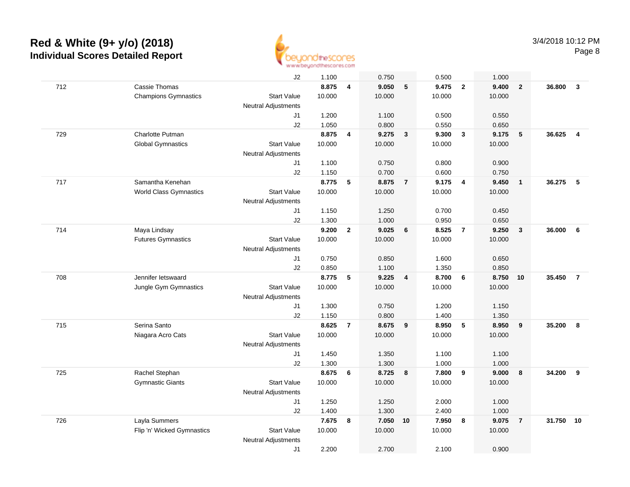

|     |                               | J2                         | 1.100  |                         | 0.750  |                         | 0.500  |                | 1.000  |                         |        |                         |
|-----|-------------------------------|----------------------------|--------|-------------------------|--------|-------------------------|--------|----------------|--------|-------------------------|--------|-------------------------|
| 712 | Cassie Thomas                 |                            | 8.875  | $\overline{\mathbf{4}}$ | 9.050  | $\sqrt{5}$              | 9.475  | $\overline{2}$ | 9.400  | $\overline{\mathbf{2}}$ | 36.800 | $\mathbf{3}$            |
|     | <b>Champions Gymnastics</b>   | <b>Start Value</b>         | 10.000 |                         | 10.000 |                         | 10.000 |                | 10.000 |                         |        |                         |
|     |                               | <b>Neutral Adjustments</b> |        |                         |        |                         |        |                |        |                         |        |                         |
|     |                               | J1                         | 1.200  |                         | 1.100  |                         | 0.500  |                | 0.550  |                         |        |                         |
|     |                               | J2                         | 1.050  |                         | 0.800  |                         | 0.550  |                | 0.650  |                         |        |                         |
| 729 | Charlotte Putman              |                            | 8.875  | $\overline{\mathbf{4}}$ | 9.275  | $\overline{3}$          | 9.300  | $\mathbf{3}$   | 9.175  | 5                       | 36.625 | $\overline{\mathbf{4}}$ |
|     | <b>Global Gymnastics</b>      | <b>Start Value</b>         | 10.000 |                         | 10.000 |                         | 10.000 |                | 10.000 |                         |        |                         |
|     |                               | <b>Neutral Adjustments</b> |        |                         |        |                         |        |                |        |                         |        |                         |
|     |                               | J1                         | 1.100  |                         | 0.750  |                         | 0.800  |                | 0.900  |                         |        |                         |
|     |                               | J2                         | 1.150  |                         | 0.700  |                         | 0.600  |                | 0.750  |                         |        |                         |
| 717 | Samantha Kenehan              |                            | 8.775  | 5                       | 8.875  | $\overline{7}$          | 9.175  | $\overline{4}$ | 9.450  | $\overline{1}$          | 36.275 | 5                       |
|     | <b>World Class Gymnastics</b> | <b>Start Value</b>         | 10.000 |                         | 10.000 |                         | 10.000 |                | 10.000 |                         |        |                         |
|     |                               | <b>Neutral Adjustments</b> |        |                         |        |                         |        |                |        |                         |        |                         |
|     |                               | J1                         | 1.150  |                         | 1.250  |                         | 0.700  |                | 0.450  |                         |        |                         |
|     |                               | J2                         | 1.300  |                         | 1.000  |                         | 0.950  |                | 0.650  |                         |        |                         |
| 714 | Maya Lindsay                  |                            | 9.200  | $\mathbf{2}$            | 9.025  | 6                       | 8.525  | $\overline{7}$ | 9.250  | $\mathbf{3}$            | 36.000 | 6                       |
|     | <b>Futures Gymnastics</b>     | <b>Start Value</b>         | 10.000 |                         | 10.000 |                         | 10.000 |                | 10.000 |                         |        |                         |
|     |                               | <b>Neutral Adjustments</b> |        |                         |        |                         |        |                |        |                         |        |                         |
|     |                               | J1                         | 0.750  |                         | 0.850  |                         | 1.600  |                | 0.650  |                         |        |                         |
|     |                               | J2                         | 0.850  |                         | 1.100  |                         | 1.350  |                | 0.850  |                         |        |                         |
| 708 | Jennifer letswaard            |                            | 8.775  | 5                       | 9.225  | $\overline{\mathbf{4}}$ | 8.700  | 6              | 8.750  | 10                      | 35.450 | $\overline{7}$          |
|     | Jungle Gym Gymnastics         | <b>Start Value</b>         | 10.000 |                         | 10.000 |                         | 10.000 |                | 10.000 |                         |        |                         |
|     |                               | <b>Neutral Adjustments</b> |        |                         |        |                         |        |                |        |                         |        |                         |
|     |                               | J1                         | 1.300  |                         | 0.750  |                         | 1.200  |                | 1.150  |                         |        |                         |
|     |                               | J2                         | 1.150  |                         | 0.800  |                         | 1.400  |                | 1.350  |                         |        |                         |
| 715 | Serina Santo                  |                            | 8.625  | $\overline{7}$          | 8.675  | 9                       | 8.950  | $\sqrt{5}$     | 8.950  | 9                       | 35.200 | 8                       |
|     | Niagara Acro Cats             | <b>Start Value</b>         | 10.000 |                         | 10.000 |                         | 10.000 |                | 10.000 |                         |        |                         |
|     |                               | <b>Neutral Adjustments</b> |        |                         |        |                         |        |                |        |                         |        |                         |
|     |                               | J1                         | 1.450  |                         | 1.350  |                         | 1.100  |                | 1.100  |                         |        |                         |
|     |                               | J2                         | 1.300  |                         | 1.300  |                         | 1.000  |                | 1.000  |                         |        |                         |
| 725 | Rachel Stephan                |                            | 8.675  | 6                       | 8.725  | $\overline{\mathbf{8}}$ | 7.800  | 9              | 9.000  | 8                       | 34.200 | 9                       |
|     | <b>Gymnastic Giants</b>       | <b>Start Value</b>         | 10.000 |                         | 10.000 |                         | 10.000 |                | 10.000 |                         |        |                         |
|     |                               | <b>Neutral Adjustments</b> |        |                         |        |                         |        |                |        |                         |        |                         |
|     |                               | J1                         | 1.250  |                         | 1.250  |                         | 2.000  |                | 1.000  |                         |        |                         |
|     |                               | J2                         | 1.400  |                         | 1.300  |                         | 2.400  |                | 1.000  |                         |        |                         |
| 726 | Layla Summers                 |                            | 7.675  | 8                       | 7.050  | 10                      | 7.950  | 8              | 9.075  | $\overline{7}$          | 31.750 | 10                      |
|     | Flip 'n' Wicked Gymnastics    | <b>Start Value</b>         | 10.000 |                         | 10.000 |                         | 10.000 |                | 10.000 |                         |        |                         |
|     |                               | <b>Neutral Adjustments</b> |        |                         |        |                         |        |                |        |                         |        |                         |
|     |                               | J1                         | 2.200  |                         | 2.700  |                         | 2.100  |                | 0.900  |                         |        |                         |
|     |                               |                            |        |                         |        |                         |        |                |        |                         |        |                         |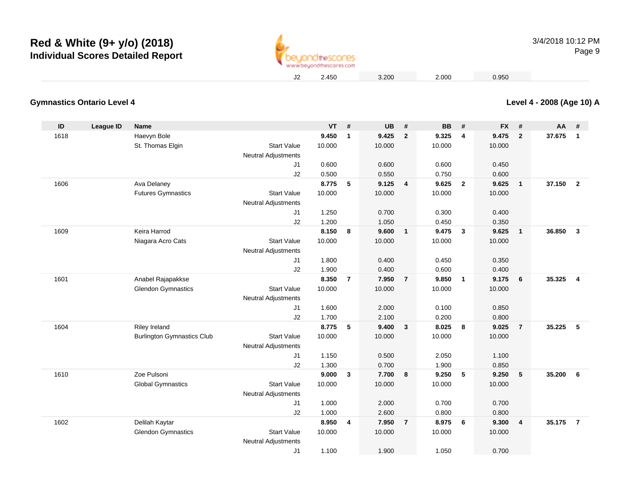

3/4/2018 10:12 PMPage 9

2.450 3.200 2.000 0.950

#### **Level 4 - 2008 (Age 10) A**

| ID   | <b>League ID</b> | <b>Name</b>                       |                                                  | <b>VT</b> | #              | <b>UB</b> | #              | BB     | #              | <b>FX</b> | #              | AA #   |                         |
|------|------------------|-----------------------------------|--------------------------------------------------|-----------|----------------|-----------|----------------|--------|----------------|-----------|----------------|--------|-------------------------|
| 1618 |                  | Haevyn Bole                       |                                                  | 9.450     | $\mathbf{1}$   | 9.425     | $\overline{2}$ | 9.325  | 4              | 9.475     | $\mathbf{2}$   | 37.675 | $\mathbf{1}$            |
|      |                  | St. Thomas Elgin                  | <b>Start Value</b>                               | 10.000    |                | 10.000    |                | 10.000 |                | 10.000    |                |        |                         |
|      |                  |                                   | <b>Neutral Adjustments</b>                       |           |                |           |                |        |                |           |                |        |                         |
|      |                  |                                   | J1                                               | 0.600     |                | 0.600     |                | 0.600  |                | 0.450     |                |        |                         |
|      |                  |                                   | J2                                               | 0.500     |                | 0.550     |                | 0.750  |                | 0.600     |                |        |                         |
| 1606 |                  | Ava Delaney                       |                                                  | 8.775     | 5              | 9.125     | $\overline{4}$ | 9.625  | $\overline{2}$ | 9.625     | $\mathbf{1}$   | 37.150 | $\overline{2}$          |
|      |                  | <b>Futures Gymnastics</b>         | <b>Start Value</b>                               | 10.000    |                | 10.000    |                | 10.000 |                | 10.000    |                |        |                         |
|      |                  |                                   | <b>Neutral Adjustments</b>                       |           |                |           |                |        |                |           |                |        |                         |
|      |                  |                                   | J <sub>1</sub>                                   | 1.250     |                | 0.700     |                | 0.300  |                | 0.400     |                |        |                         |
|      |                  |                                   | J2                                               | 1.200     |                | 1.050     |                | 0.450  |                | 0.350     |                |        |                         |
| 1609 |                  | Keira Harrod                      |                                                  | 8.150     | 8              | 9.600     | $\overline{1}$ | 9.475  | $\mathbf{3}$   | 9.625     | $\mathbf{1}$   | 36.850 | $\overline{\mathbf{3}}$ |
|      |                  | Niagara Acro Cats                 | <b>Start Value</b>                               | 10.000    |                | 10.000    |                | 10.000 |                | 10.000    |                |        |                         |
|      |                  |                                   | <b>Neutral Adjustments</b>                       |           |                |           |                |        |                |           |                |        |                         |
|      |                  |                                   | J1                                               | 1.800     |                | 0.400     |                | 0.450  |                | 0.350     |                |        |                         |
|      |                  |                                   | J2                                               | 1.900     |                | 0.400     |                | 0.600  |                | 0.400     |                |        |                         |
| 1601 |                  | Anabel Rajapakkse                 |                                                  | 8.350     | $\overline{7}$ | 7.950     | $\overline{7}$ | 9.850  | $\overline{1}$ | 9.175     | 6              | 35.325 | $\overline{4}$          |
|      |                  | <b>Glendon Gymnastics</b>         | <b>Start Value</b>                               | 10.000    |                | 10.000    |                | 10.000 |                | 10.000    |                |        |                         |
|      |                  |                                   | <b>Neutral Adjustments</b>                       |           |                |           |                |        |                |           |                |        |                         |
|      |                  |                                   | J1                                               | 1.600     |                | 2.000     |                | 0.100  |                | 0.850     |                |        |                         |
|      |                  |                                   | J2                                               | 1.700     |                | 2.100     |                | 0.200  |                | 0.800     |                | 35.225 |                         |
| 1604 |                  | Riley Ireland                     |                                                  | 8.775     | 5              | 9.400     | $\mathbf{3}$   | 8.025  | 8              | 9.025     | $\overline{7}$ |        | 5                       |
|      |                  | <b>Burlington Gymnastics Club</b> | <b>Start Value</b><br><b>Neutral Adjustments</b> | 10.000    |                | 10.000    |                | 10.000 |                | 10.000    |                |        |                         |
|      |                  |                                   | J1                                               | 1.150     |                | 0.500     |                | 2.050  |                | 1.100     |                |        |                         |
|      |                  |                                   | J2                                               | 1.300     |                | 0.700     |                | 1.900  |                | 0.850     |                |        |                         |
| 1610 |                  | Zoe Pulsoni                       |                                                  | 9.000     | 3              | 7.700     | 8              | 9.250  | 5              | 9.250     | 5              | 35.200 | 6                       |
|      |                  | <b>Global Gymnastics</b>          | <b>Start Value</b>                               | 10.000    |                | 10.000    |                | 10.000 |                | 10.000    |                |        |                         |
|      |                  |                                   | <b>Neutral Adjustments</b>                       |           |                |           |                |        |                |           |                |        |                         |
|      |                  |                                   | J1                                               | 1.000     |                | 2.000     |                | 0.700  |                | 0.700     |                |        |                         |
|      |                  |                                   | J2                                               | 1.000     |                | 2.600     |                | 0.800  |                | 0.800     |                |        |                         |
| 1602 |                  | Delilah Kaytar                    |                                                  | 8.950     | 4              | 7.950     | $\overline{7}$ | 8.975  | 6              | 9.300     | 4              | 35.175 | $\overline{7}$          |
|      |                  | <b>Glendon Gymnastics</b>         | <b>Start Value</b>                               | 10.000    |                | 10.000    |                | 10.000 |                | 10.000    |                |        |                         |
|      |                  |                                   | <b>Neutral Adjustments</b>                       |           |                |           |                |        |                |           |                |        |                         |
|      |                  |                                   | J <sub>1</sub>                                   | 1.100     |                | 1.900     |                | 1.050  |                | 0.700     |                |        |                         |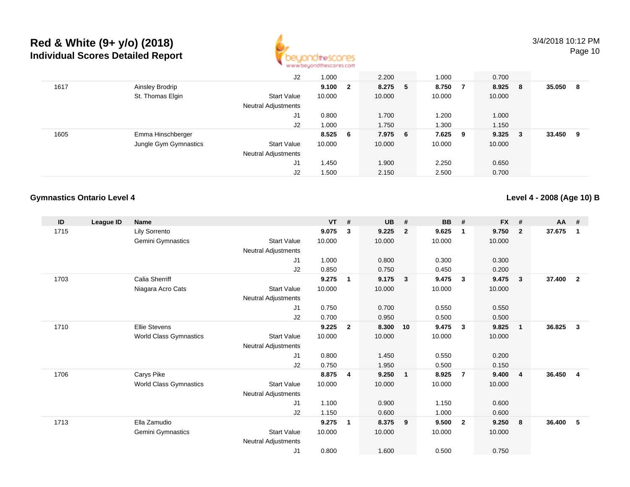

|      |                       | J2                  | 1.000   |              | 2.200   | 1.000   |     | 0.700  |     |        |    |
|------|-----------------------|---------------------|---------|--------------|---------|---------|-----|--------|-----|--------|----|
| 1617 | Ainsley Brodrip       |                     | 9.100   | $\mathbf{2}$ | 8.275 5 | 8.750 7 |     | 8.925  | - 8 | 35.050 | -8 |
|      | St. Thomas Elgin      | <b>Start Value</b>  | 10.000  |              | 10.000  | 10.000  |     | 10.000 |     |        |    |
|      |                       | Neutral Adjustments |         |              |         |         |     |        |     |        |    |
|      |                       | J1                  | 0.800   |              | 1.700   | 1.200   |     | 1.000  |     |        |    |
|      |                       | J2                  | 1.000   |              | 1.750   | 1.300   |     | 1.150  |     |        |    |
| 1605 | Emma Hinschberger     |                     | 8.525 6 |              | 7.975 6 | 7.625   | - 9 | 9.325  | - 3 | 33.450 | 9  |
|      | Jungle Gym Gymnastics | <b>Start Value</b>  | 10.000  |              | 10.000  | 10.000  |     | 10.000 |     |        |    |
|      |                       | Neutral Adjustments |         |              |         |         |     |        |     |        |    |
|      |                       | J1                  | 1.450   |              | 1.900   | 2.250   |     | 0.650  |     |        |    |
|      |                       | J <sub>2</sub>      | 1.500   |              | 2.150   | 2.500   |     | 0.700  |     |        |    |

#### **Gymnastics Ontario Level 4**

**Level 4 - 2008 (Age 10) B**

| ID   | League ID | <b>Name</b>                   |                     | <b>VT</b> | #              | <b>UB</b> | #                       | <b>BB</b> | #              | <b>FX</b> | #              | $AA$ # |                |
|------|-----------|-------------------------------|---------------------|-----------|----------------|-----------|-------------------------|-----------|----------------|-----------|----------------|--------|----------------|
| 1715 |           | <b>Lily Sorrento</b>          |                     | 9.075     | 3              | 9.225     | $\overline{2}$          | 9.625     | $\mathbf 1$    | 9.750     | $\overline{2}$ | 37.675 | -1             |
|      |           | Gemini Gymnastics             | <b>Start Value</b>  | 10.000    |                | 10.000    |                         | 10.000    |                | 10.000    |                |        |                |
|      |           |                               | Neutral Adjustments |           |                |           |                         |           |                |           |                |        |                |
|      |           |                               | J1                  | 1.000     |                | 0.800     |                         | 0.300     |                | 0.300     |                |        |                |
|      |           |                               | J2                  | 0.850     |                | 0.750     |                         | 0.450     |                | 0.200     |                |        |                |
| 1703 |           | Calia Sherriff                |                     | 9.275     | $\mathbf 1$    | 9.175     | $\overline{\mathbf{3}}$ | 9.475     | $\mathbf{3}$   | 9.475     | 3              | 37.400 | $\overline{2}$ |
|      |           | Niagara Acro Cats             | <b>Start Value</b>  | 10.000    |                | 10.000    |                         | 10.000    |                | 10.000    |                |        |                |
|      |           |                               | Neutral Adjustments |           |                |           |                         |           |                |           |                |        |                |
|      |           |                               | J1                  | 0.750     |                | 0.700     |                         | 0.550     |                | 0.550     |                |        |                |
|      |           |                               | J2                  | 0.700     |                | 0.950     |                         | 0.500     |                | 0.500     |                |        |                |
| 1710 |           | <b>Ellie Stevens</b>          |                     | 9.225     | $\overline{2}$ | 8.300     | 10                      | 9.475     | $\mathbf{3}$   | 9.825     | $\mathbf{1}$   | 36.825 | 3              |
|      |           | World Class Gymnastics        | <b>Start Value</b>  | 10.000    |                | 10.000    |                         | 10.000    |                | 10.000    |                |        |                |
|      |           |                               | Neutral Adjustments |           |                |           |                         |           |                |           |                |        |                |
|      |           |                               | J1                  | 0.800     |                | 1.450     |                         | 0.550     |                | 0.200     |                |        |                |
|      |           |                               | J2                  | 0.750     |                | 1.950     |                         | 0.500     |                | 0.150     |                |        |                |
| 1706 |           | Carys Pike                    |                     | 8.875     | 4              | 9.250     | $\overline{\mathbf{1}}$ | 8.925     | $\overline{7}$ | 9.400     | $\overline{4}$ | 36.450 | $\overline{4}$ |
|      |           | <b>World Class Gymnastics</b> | <b>Start Value</b>  | 10.000    |                | 10.000    |                         | 10.000    |                | 10.000    |                |        |                |
|      |           |                               | Neutral Adjustments |           |                |           |                         |           |                |           |                |        |                |
|      |           |                               | J1                  | 1.100     |                | 0.900     |                         | 1.150     |                | 0.600     |                |        |                |
|      |           |                               | J2                  | 1.150     |                | 0.600     |                         | 1.000     |                | 0.600     |                |        |                |
| 1713 |           | Ella Zamudio                  |                     | 9.275     | $\mathbf 1$    | 8.375     | 9                       | 9.500     | $\overline{2}$ | 9.250     | 8              | 36.400 | 5              |
|      |           | Gemini Gymnastics             | <b>Start Value</b>  | 10.000    |                | 10.000    |                         | 10.000    |                | 10.000    |                |        |                |
|      |           |                               | Neutral Adjustments |           |                |           |                         |           |                |           |                |        |                |
|      |           |                               | J <sub>1</sub>      | 0.800     |                | 1.600     |                         | 0.500     |                | 0.750     |                |        |                |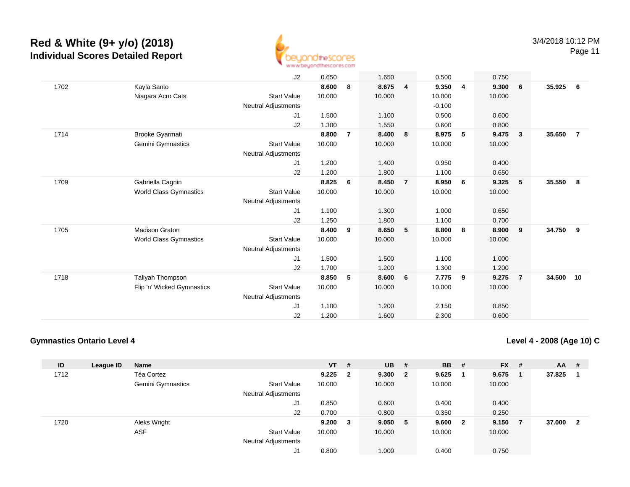

Page 11

|      |                            | J2                         | 0.650  |                | 1.650  |                | 0.500    |   | 0.750  |                         |           |                |
|------|----------------------------|----------------------------|--------|----------------|--------|----------------|----------|---|--------|-------------------------|-----------|----------------|
| 1702 | Kayla Santo                |                            | 8.600  | 8              | 8.675  | 4              | 9.350    | 4 | 9.300  | - 6                     | 35.925    | 6              |
|      | Niagara Acro Cats          | <b>Start Value</b>         | 10.000 |                | 10.000 |                | 10.000   |   | 10.000 |                         |           |                |
|      |                            | Neutral Adjustments        |        |                |        |                | $-0.100$ |   |        |                         |           |                |
|      |                            | J1                         | 1.500  |                | 1.100  |                | 0.500    |   | 0.600  |                         |           |                |
|      |                            | J2                         | 1.300  |                | 1.550  |                | 0.600    |   | 0.800  |                         |           |                |
| 1714 | <b>Brooke Gyarmati</b>     |                            | 8.800  | $\overline{7}$ | 8.400  | 8              | 8.975    | 5 | 9.475  | $\overline{\mathbf{3}}$ | 35.650    | $\overline{7}$ |
|      | Gemini Gymnastics          | <b>Start Value</b>         | 10.000 |                | 10.000 |                | 10.000   |   | 10.000 |                         |           |                |
|      |                            | Neutral Adjustments        |        |                |        |                |          |   |        |                         |           |                |
|      |                            | J1                         | 1.200  |                | 1.400  |                | 0.950    |   | 0.400  |                         |           |                |
|      |                            | J2                         | 1.200  |                | 1.800  |                | 1.100    |   | 0.650  |                         |           |                |
| 1709 | Gabriella Cagnin           |                            | 8.825  | 6              | 8.450  | $\overline{7}$ | 8.950    | 6 | 9.325  | 5                       | 35.550    | 8              |
|      | World Class Gymnastics     | <b>Start Value</b>         | 10.000 |                | 10.000 |                | 10.000   |   | 10.000 |                         |           |                |
|      |                            | Neutral Adjustments        |        |                |        |                |          |   |        |                         |           |                |
|      |                            | J1                         | 1.100  |                | 1.300  |                | 1.000    |   | 0.650  |                         |           |                |
|      |                            | J2                         | 1.250  |                | 1.800  |                | 1.100    |   | 0.700  |                         |           |                |
| 1705 | <b>Madison Graton</b>      |                            | 8.400  | 9              | 8.650  | 5              | 8.800    | 8 | 8.900  | 9                       | 34.750    | - 9            |
|      | World Class Gymnastics     | <b>Start Value</b>         | 10.000 |                | 10.000 |                | 10.000   |   | 10.000 |                         |           |                |
|      |                            | <b>Neutral Adjustments</b> |        |                |        |                |          |   |        |                         |           |                |
|      |                            | J1                         | 1.500  |                | 1.500  |                | 1.100    |   | 1.000  |                         |           |                |
|      |                            | J2                         | 1.700  |                | 1.200  |                | 1.300    |   | 1.200  |                         |           |                |
| 1718 | Taliyah Thompson           |                            | 8.850  | 5              | 8.600  | 6              | 7.775    | 9 | 9.275  | $\overline{7}$          | 34.500 10 |                |
|      | Flip 'n' Wicked Gymnastics | <b>Start Value</b>         | 10.000 |                | 10.000 |                | 10.000   |   | 10.000 |                         |           |                |
|      |                            | <b>Neutral Adjustments</b> |        |                |        |                |          |   |        |                         |           |                |
|      |                            | J1                         | 1.100  |                | 1.200  |                | 2.150    |   | 0.850  |                         |           |                |
|      |                            | J2                         | 1.200  |                | 1.600  |                | 2.300    |   | 0.600  |                         |           |                |

#### **Gymnastics Ontario Level 4**

**Level 4 - 2008 (Age 10) C**

| ID   | League ID | <b>Name</b>       |                            | $VT$ #      |                         | <b>UB</b> | #                       | <b>BB</b> | #                       | <b>FX</b> | #              | $AA$ # |                |
|------|-----------|-------------------|----------------------------|-------------|-------------------------|-----------|-------------------------|-----------|-------------------------|-----------|----------------|--------|----------------|
| 1712 |           | Téa Cortez        |                            | 9.225       | $\overline{\mathbf{2}}$ | 9.300     | $\overline{\mathbf{2}}$ | 9.625     |                         | 9.675     |                | 37.825 |                |
|      |           | Gemini Gymnastics | <b>Start Value</b>         | 10.000      |                         | 10.000    |                         | 10.000    |                         | 10.000    |                |        |                |
|      |           |                   | <b>Neutral Adjustments</b> |             |                         |           |                         |           |                         |           |                |        |                |
|      |           |                   | J1                         | 0.850       |                         | 0.600     |                         | 0.400     |                         | 0.400     |                |        |                |
|      |           |                   | J2                         | 0.700       |                         | 0.800     |                         | 0.350     |                         | 0.250     |                |        |                |
| 1720 |           | Aleks Wright      |                            | $9.200 \t3$ |                         | 9.050     | 5                       | 9.600     | $\overline{\mathbf{2}}$ | 9.150     | $\overline{7}$ | 37.000 | $\overline{2}$ |
|      |           | <b>ASF</b>        | <b>Start Value</b>         | 10.000      |                         | 10.000    |                         | 10.000    |                         | 10.000    |                |        |                |
|      |           |                   | <b>Neutral Adjustments</b> |             |                         |           |                         |           |                         |           |                |        |                |
|      |           |                   | J1                         | 0.800       |                         | 1.000     |                         | 0.400     |                         | 0.750     |                |        |                |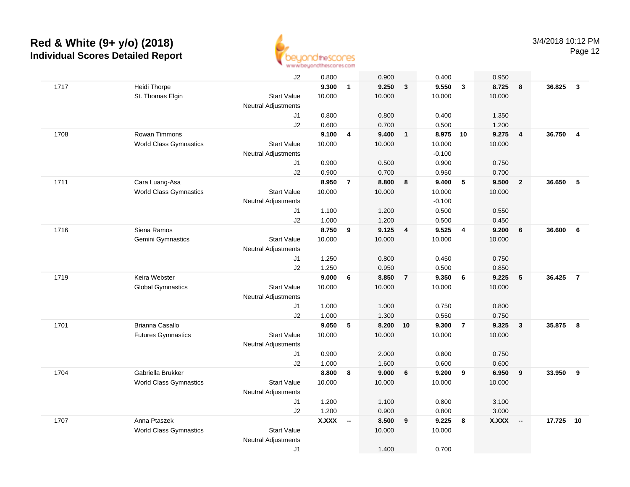

|      |                               | J2                         | 0.800        |                          | 0.900  |                         | 0.400    |                         | 0.950        |                          |        |                |
|------|-------------------------------|----------------------------|--------------|--------------------------|--------|-------------------------|----------|-------------------------|--------------|--------------------------|--------|----------------|
| 1717 | Heidi Thorpe                  |                            | 9.300        | $\mathbf{1}$             | 9.250  | $\overline{\mathbf{3}}$ | 9.550    | $\overline{\mathbf{3}}$ | 8.725        | 8                        | 36.825 | $\mathbf{3}$   |
|      | St. Thomas Elgin              | <b>Start Value</b>         | 10.000       |                          | 10.000 |                         | 10.000   |                         | 10.000       |                          |        |                |
|      |                               | <b>Neutral Adjustments</b> |              |                          |        |                         |          |                         |              |                          |        |                |
|      |                               | J1                         | 0.800        |                          | 0.800  |                         | 0.400    |                         | 1.350        |                          |        |                |
|      |                               | J2                         | 0.600        |                          | 0.700  |                         | 0.500    |                         | 1.200        |                          |        |                |
| 1708 | Rowan Timmons                 |                            | 9.100        | 4                        | 9.400  | $\overline{\mathbf{1}}$ | 8.975    | 10                      | 9.275        | $\overline{\mathbf{4}}$  | 36.750 | $\overline{4}$ |
|      | <b>World Class Gymnastics</b> | <b>Start Value</b>         | 10.000       |                          | 10.000 |                         | 10.000   |                         | 10.000       |                          |        |                |
|      |                               | <b>Neutral Adjustments</b> |              |                          |        |                         | $-0.100$ |                         |              |                          |        |                |
|      |                               | J1                         | 0.900        |                          | 0.500  |                         | 0.900    |                         | 0.750        |                          |        |                |
|      |                               | J2                         | 0.900        |                          | 0.700  |                         | 0.950    |                         | 0.700        |                          |        |                |
| 1711 | Cara Luang-Asa                |                            | 8.950        | $\overline{7}$           | 8.800  | 8                       | 9.400    | $5\phantom{.0}$         | 9.500        | $\overline{2}$           | 36.650 | 5              |
|      | <b>World Class Gymnastics</b> | <b>Start Value</b>         | 10.000       |                          | 10.000 |                         | 10.000   |                         | 10.000       |                          |        |                |
|      |                               | Neutral Adjustments        |              |                          |        |                         | $-0.100$ |                         |              |                          |        |                |
|      |                               | J1                         | 1.100        |                          | 1.200  |                         | 0.500    |                         | 0.550        |                          |        |                |
|      |                               | J2                         | 1.000        |                          | 1.200  |                         | 0.500    |                         | 0.450        |                          |        |                |
| 1716 | Siena Ramos                   |                            | 8.750        | 9                        | 9.125  | $\overline{4}$          | 9.525    | 4                       | 9.200        | 6                        | 36.600 | 6              |
|      | Gemini Gymnastics             | <b>Start Value</b>         | 10.000       |                          | 10.000 |                         | 10.000   |                         | 10.000       |                          |        |                |
|      |                               | Neutral Adjustments        |              |                          |        |                         |          |                         |              |                          |        |                |
|      |                               | J1                         | 1.250        |                          | 0.800  |                         | 0.450    |                         | 0.750        |                          |        |                |
|      |                               | J2                         | 1.250        |                          | 0.950  |                         | 0.500    |                         | 0.850        |                          |        |                |
| 1719 | Keira Webster                 |                            | 9.000        | 6                        | 8.850  | $\overline{7}$          | 9.350    | 6                       | 9.225        | $\sqrt{5}$               | 36.425 | $\overline{7}$ |
|      | <b>Global Gymnastics</b>      | <b>Start Value</b>         | 10.000       |                          | 10.000 |                         | 10.000   |                         | 10.000       |                          |        |                |
|      |                               | Neutral Adjustments        |              |                          |        |                         |          |                         |              |                          |        |                |
|      |                               | J1                         | 1.000        |                          | 1.000  |                         | 0.750    |                         | 0.800        |                          |        |                |
|      |                               | J2                         | 1.000        |                          | 1.300  |                         | 0.550    |                         | 0.750        |                          |        |                |
| 1701 | <b>Brianna Casallo</b>        |                            | 9.050        | 5                        | 8.200  | 10                      | 9.300    | $\overline{7}$          | 9.325        | $\overline{\mathbf{3}}$  | 35.875 | 8              |
|      | <b>Futures Gymnastics</b>     | <b>Start Value</b>         | 10.000       |                          | 10.000 |                         | 10.000   |                         | 10.000       |                          |        |                |
|      |                               | Neutral Adjustments        |              |                          |        |                         |          |                         |              |                          |        |                |
|      |                               | J1                         | 0.900        |                          | 2.000  |                         | 0.800    |                         | 0.750        |                          |        |                |
|      |                               | J2                         | 1.000        |                          | 1.600  |                         | 0.600    |                         | 0.600        |                          |        |                |
| 1704 | Gabriella Brukker             |                            | 8.800        | 8                        | 9.000  | 6                       | 9.200    | $\overline{\mathbf{9}}$ | 6.950        | 9                        | 33.950 | 9              |
|      | <b>World Class Gymnastics</b> | <b>Start Value</b>         | 10.000       |                          | 10.000 |                         | 10.000   |                         | 10.000       |                          |        |                |
|      |                               | <b>Neutral Adjustments</b> |              |                          |        |                         |          |                         |              |                          |        |                |
|      |                               | J1                         | 1.200        |                          | 1.100  |                         | 0.800    |                         | 3.100        |                          |        |                |
|      |                               | J2                         | 1.200        |                          | 0.900  |                         | 0.800    |                         | 3.000        |                          |        |                |
| 1707 | Anna Ptaszek                  |                            | <b>X.XXX</b> | $\overline{\phantom{a}}$ | 8.500  | 9                       | 9.225    | 8                       | <b>X.XXX</b> | $\overline{\phantom{a}}$ | 17.725 | 10             |
|      | <b>World Class Gymnastics</b> | <b>Start Value</b>         |              |                          | 10.000 |                         | 10.000   |                         |              |                          |        |                |
|      |                               | <b>Neutral Adjustments</b> |              |                          |        |                         |          |                         |              |                          |        |                |
|      |                               | J <sub>1</sub>             |              |                          | 1.400  |                         | 0.700    |                         |              |                          |        |                |
|      |                               |                            |              |                          |        |                         |          |                         |              |                          |        |                |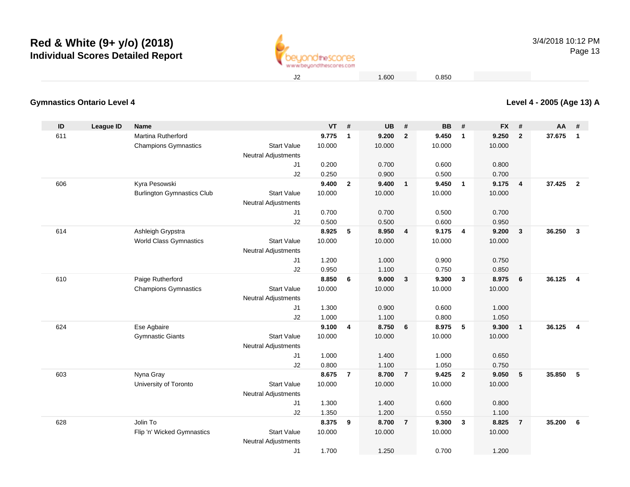

**Level 4 - 2005 (Age 13) A**

1.600 0.850

#### **Gymnastics Ontario Level 4**

| ID  | League ID | <b>Name</b>                       |                                                  | <b>VT</b> | #              | <b>UB</b> | #                       | <b>BB</b> | #              | <b>FX</b> | #              | AA     | #                       |
|-----|-----------|-----------------------------------|--------------------------------------------------|-----------|----------------|-----------|-------------------------|-----------|----------------|-----------|----------------|--------|-------------------------|
| 611 |           | Martina Rutherford                |                                                  | 9.775     | $\mathbf{1}$   | 9.200     | $\overline{2}$          | 9.450     | $\mathbf{1}$   | 9.250     | $\overline{2}$ | 37.675 | $\overline{1}$          |
|     |           | <b>Champions Gymnastics</b>       | <b>Start Value</b>                               | 10.000    |                | 10.000    |                         | 10.000    |                | 10.000    |                |        |                         |
|     |           |                                   | <b>Neutral Adjustments</b>                       |           |                |           |                         |           |                |           |                |        |                         |
|     |           |                                   | J <sub>1</sub>                                   | 0.200     |                | 0.700     |                         | 0.600     |                | 0.800     |                |        |                         |
|     |           |                                   | J2                                               | 0.250     |                | 0.900     |                         | 0.500     |                | 0.700     |                |        |                         |
| 606 |           | Kyra Pesowski                     |                                                  | 9.400     | $\overline{2}$ | 9.400     | $\overline{\mathbf{1}}$ | 9.450     | $\mathbf{1}$   | 9.175     | 4              | 37.425 | $\overline{\mathbf{2}}$ |
|     |           | <b>Burlington Gymnastics Club</b> | <b>Start Value</b>                               | 10.000    |                | 10.000    |                         | 10.000    |                | 10.000    |                |        |                         |
|     |           |                                   | <b>Neutral Adjustments</b>                       |           |                |           |                         |           |                |           |                |        |                         |
|     |           |                                   | J1                                               | 0.700     |                | 0.700     |                         | 0.500     |                | 0.700     |                |        |                         |
|     |           |                                   | J2                                               | 0.500     |                | 0.500     |                         | 0.600     |                | 0.950     |                |        |                         |
| 614 |           | Ashleigh Grypstra                 |                                                  | 8.925     | 5              | 8.950     | $\overline{4}$          | 9.175     | $\overline{4}$ | 9.200     | 3              | 36.250 | $\overline{3}$          |
|     |           | <b>World Class Gymnastics</b>     | <b>Start Value</b>                               | 10.000    |                | 10.000    |                         | 10.000    |                | 10.000    |                |        |                         |
|     |           |                                   | <b>Neutral Adjustments</b>                       |           |                |           |                         |           |                |           |                |        |                         |
|     |           |                                   | J <sub>1</sub>                                   | 1.200     |                | 1.000     |                         | 0.900     |                | 0.750     |                |        |                         |
|     |           |                                   | J2                                               | 0.950     |                | 1.100     |                         | 0.750     |                | 0.850     |                |        |                         |
| 610 |           | Paige Rutherford                  |                                                  | 8.850     | 6              | 9.000     | $\overline{3}$          | 9.300     | 3              | 8.975     | 6              | 36.125 | $\overline{4}$          |
|     |           | <b>Champions Gymnastics</b>       | <b>Start Value</b>                               | 10.000    |                | 10.000    |                         | 10.000    |                | 10.000    |                |        |                         |
|     |           |                                   | <b>Neutral Adjustments</b>                       |           |                |           |                         |           |                |           |                |        |                         |
|     |           |                                   | J1                                               | 1.300     |                | 0.900     |                         | 0.600     |                | 1.000     |                |        |                         |
|     |           |                                   | J2                                               | 1.000     |                | 1.100     |                         | 0.800     |                | 1.050     |                |        |                         |
| 624 |           | Ese Agbaire                       |                                                  | 9.100     | 4              | 8.750     | 6                       | 8.975     | 5              | 9.300     | $\mathbf{1}$   | 36.125 | $\overline{4}$          |
|     |           | <b>Gymnastic Giants</b>           | <b>Start Value</b><br><b>Neutral Adjustments</b> | 10.000    |                | 10.000    |                         | 10.000    |                | 10.000    |                |        |                         |
|     |           |                                   | J <sub>1</sub>                                   | 1.000     |                | 1.400     |                         | 1.000     |                | 0.650     |                |        |                         |
|     |           |                                   | J2                                               | 0.800     |                | 1.100     |                         | 1.050     |                | 0.750     |                |        |                         |
| 603 |           | Nyna Gray                         |                                                  | 8.675     | $\overline{7}$ | 8.700     | $\overline{7}$          | 9.425     | $\overline{2}$ | 9.050     | 5              | 35.850 | 5                       |
|     |           | University of Toronto             | <b>Start Value</b>                               | 10.000    |                | 10.000    |                         | 10.000    |                | 10.000    |                |        |                         |
|     |           |                                   | <b>Neutral Adjustments</b>                       |           |                |           |                         |           |                |           |                |        |                         |
|     |           |                                   | J <sub>1</sub>                                   | 1.300     |                | 1.400     |                         | 0.600     |                | 0.800     |                |        |                         |
|     |           |                                   | J2                                               | 1.350     |                | 1.200     |                         | 0.550     |                | 1.100     |                |        |                         |
| 628 |           | Jolin To                          |                                                  | 8.375     | 9              | 8.700     | $\overline{7}$          | 9.300     | 3              | 8.825     | $\overline{7}$ | 35.200 | 6                       |
|     |           | Flip 'n' Wicked Gymnastics        | <b>Start Value</b>                               | 10.000    |                | 10.000    |                         | 10.000    |                | 10.000    |                |        |                         |
|     |           |                                   | Neutral Adjustments                              |           |                |           |                         |           |                |           |                |        |                         |
|     |           |                                   | J1                                               | 1.700     |                | 1.250     |                         | 0.700     |                | 1.200     |                |        |                         |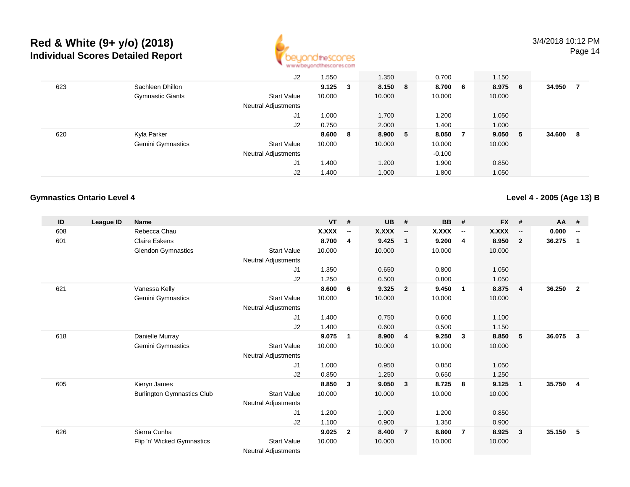

|     |                         | J2                         | .550   |     | 1.350   |    | 0.700    |                | 1.150  |     |        |    |
|-----|-------------------------|----------------------------|--------|-----|---------|----|----------|----------------|--------|-----|--------|----|
| 623 | Sachleen Dhillon        |                            | 9.125  | -3  | 8.150 8 |    | 8.700    | 6 <sup>1</sup> | 8.975  | - 6 | 34.950 |    |
|     | <b>Gymnastic Giants</b> | <b>Start Value</b>         | 10.000 |     | 10.000  |    | 10.000   |                | 10.000 |     |        |    |
|     |                         | <b>Neutral Adjustments</b> |        |     |         |    |          |                |        |     |        |    |
|     |                         | J1                         | 1.000  |     | 1.700   |    | 1.200    |                | 1.050  |     |        |    |
|     |                         | J2                         | 0.750  |     | 2.000   |    | 1.400    |                | 1.000  |     |        |    |
| 620 | Kyla Parker             |                            | 8.600  | - 8 | 8.900   | -5 | 8.050    | $\overline{7}$ | 9.050  | - 5 | 34.600 | -8 |
|     | Gemini Gymnastics       | <b>Start Value</b>         | 10.000 |     | 10.000  |    | 10.000   |                | 10.000 |     |        |    |
|     |                         | <b>Neutral Adjustments</b> |        |     |         |    | $-0.100$ |                |        |     |        |    |
|     |                         | J1                         | 1.400  |     | 1.200   |    | 1.900    |                | 0.850  |     |        |    |
|     |                         | J <sub>2</sub>             | 1.400  |     | 1.000   |    | 1.800    |                | 1.050  |     |        |    |

#### **Gymnastics Ontario Level 4**

**Level 4 - 2005 (Age 13) B**

| ID  | League ID | <b>Name</b>                       |                            | <b>VT</b>    | #                        | <b>UB</b> | #                        | <b>BB</b> | #                        | <b>FX</b>    | #                        | <b>AA</b> | #                        |
|-----|-----------|-----------------------------------|----------------------------|--------------|--------------------------|-----------|--------------------------|-----------|--------------------------|--------------|--------------------------|-----------|--------------------------|
| 608 |           | Rebecca Chau                      |                            | <b>X.XXX</b> | $\overline{\phantom{a}}$ | X.XXX     | $\overline{\phantom{a}}$ | X.XXX     | $\overline{\phantom{a}}$ | <b>X.XXX</b> | $\overline{\phantom{a}}$ | 0.000     | $\overline{\phantom{a}}$ |
| 601 |           | <b>Claire Eskens</b>              |                            | 8.700        | 4                        | 9.425     | $\overline{\mathbf{1}}$  | 9.200     | 4                        | 8.950        | $\mathbf{2}$             | 36.275    | 1                        |
|     |           | <b>Glendon Gymnastics</b>         | <b>Start Value</b>         | 10.000       |                          | 10.000    |                          | 10.000    |                          | 10.000       |                          |           |                          |
|     |           |                                   | Neutral Adjustments        |              |                          |           |                          |           |                          |              |                          |           |                          |
|     |           |                                   | J1                         | 1.350        |                          | 0.650     |                          | 0.800     |                          | 1.050        |                          |           |                          |
|     |           |                                   | J2                         | 1.250        |                          | 0.500     |                          | 0.800     |                          | 1.050        |                          |           |                          |
| 621 |           | Vanessa Kelly                     |                            | 8.600        | 6                        | 9.325     | $\overline{\mathbf{2}}$  | 9.450     | $\overline{1}$           | 8.875        | $\overline{4}$           | 36.250    | $\overline{2}$           |
|     |           | Gemini Gymnastics                 | <b>Start Value</b>         | 10.000       |                          | 10.000    |                          | 10.000    |                          | 10.000       |                          |           |                          |
|     |           |                                   | <b>Neutral Adjustments</b> |              |                          |           |                          |           |                          |              |                          |           |                          |
|     |           |                                   | J1                         | 1.400        |                          | 0.750     |                          | 0.600     |                          | 1.100        |                          |           |                          |
|     |           |                                   | J2                         | 1.400        |                          | 0.600     |                          | 0.500     |                          | 1.150        |                          |           |                          |
| 618 |           | Danielle Murray                   |                            | 9.075        | $\mathbf 1$              | 8.900     | $\overline{4}$           | 9.250     | $\mathbf{3}$             | 8.850        | 5                        | 36.075    | 3                        |
|     |           | <b>Gemini Gymnastics</b>          | <b>Start Value</b>         | 10.000       |                          | 10.000    |                          | 10.000    |                          | 10.000       |                          |           |                          |
|     |           |                                   | <b>Neutral Adjustments</b> |              |                          |           |                          |           |                          |              |                          |           |                          |
|     |           |                                   | J1                         | 1.000        |                          | 0.950     |                          | 0.850     |                          | 1.050        |                          |           |                          |
|     |           |                                   | J2                         | 0.850        |                          | 1.250     |                          | 0.650     |                          | 1.250        |                          |           |                          |
| 605 |           | Kieryn James                      |                            | 8.850        | 3                        | 9.050     | $\overline{\mathbf{3}}$  | 8.725     | 8                        | 9.125        | $\mathbf{1}$             | 35.750    | $\overline{4}$           |
|     |           | <b>Burlington Gymnastics Club</b> | <b>Start Value</b>         | 10.000       |                          | 10.000    |                          | 10.000    |                          | 10.000       |                          |           |                          |
|     |           |                                   | Neutral Adjustments        |              |                          |           |                          |           |                          |              |                          |           |                          |
|     |           |                                   | J1                         | 1.200        |                          | 1.000     |                          | 1.200     |                          | 0.850        |                          |           |                          |
|     |           |                                   | J2                         | 1.100        |                          | 0.900     |                          | 1.350     |                          | 0.900        |                          |           |                          |
| 626 |           | Sierra Cunha                      |                            | 9.025        | $\overline{2}$           | 8.400     | $\overline{7}$           | 8.800     | $\overline{7}$           | 8.925        | $\mathbf{3}$             | 35.150    | 5                        |
|     |           | Flip 'n' Wicked Gymnastics        | <b>Start Value</b>         | 10.000       |                          | 10.000    |                          | 10.000    |                          | 10.000       |                          |           |                          |
|     |           |                                   | <b>Neutral Adjustments</b> |              |                          |           |                          |           |                          |              |                          |           |                          |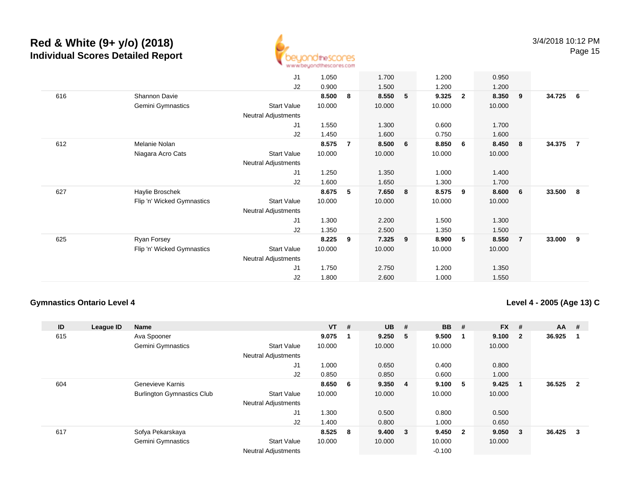

|     |                            | J1                         | 1.050  |                | 1.700  |                 | 1.200  |                | 0.950  |     |        |     |
|-----|----------------------------|----------------------------|--------|----------------|--------|-----------------|--------|----------------|--------|-----|--------|-----|
|     |                            | J2                         | 0.900  |                | 1.500  |                 | 1.200  |                | 1.200  |     |        |     |
| 616 | Shannon Davie              |                            | 8.500  | 8              | 8.550  | 5               | 9.325  | $\overline{2}$ | 8.350  | - 9 | 34.725 | - 6 |
|     | Gemini Gymnastics          | <b>Start Value</b>         | 10.000 |                | 10.000 |                 | 10.000 |                | 10.000 |     |        |     |
|     |                            | Neutral Adjustments        |        |                |        |                 |        |                |        |     |        |     |
|     |                            | J1                         | 1.550  |                | 1.300  |                 | 0.600  |                | 1.700  |     |        |     |
|     |                            | J2                         | 1.450  |                | 1.600  |                 | 0.750  |                | 1.600  |     |        |     |
| 612 | Melanie Nolan              |                            | 8.575  | $\overline{7}$ | 8.500  | $6\overline{6}$ | 8.850  | 6              | 8.450  | 8   | 34.375 | 7   |
|     | Niagara Acro Cats          | <b>Start Value</b>         | 10.000 |                | 10.000 |                 | 10.000 |                | 10.000 |     |        |     |
|     |                            | Neutral Adjustments        |        |                |        |                 |        |                |        |     |        |     |
|     |                            | J1                         | 1.250  |                | 1.350  |                 | 1.000  |                | 1.400  |     |        |     |
|     |                            | J2                         | 1.600  |                | 1.650  |                 | 1.300  |                | 1.700  |     |        |     |
| 627 | Haylie Broschek            |                            | 8.675  | 5              | 7.650  | 8               | 8.575  | 9              | 8.600  | - 6 | 33.500 | 8   |
|     | Flip 'n' Wicked Gymnastics | <b>Start Value</b>         | 10.000 |                | 10.000 |                 | 10.000 |                | 10.000 |     |        |     |
|     |                            | Neutral Adjustments        |        |                |        |                 |        |                |        |     |        |     |
|     |                            | J1                         | 1.300  |                | 2.200  |                 | 1.500  |                | 1.300  |     |        |     |
|     |                            | J2                         | 1.350  |                | 2.500  |                 | 1.350  |                | 1.500  |     |        |     |
| 625 | Ryan Forsey                |                            | 8.225  | 9              | 7.325  | 9               | 8.900  | 5 <sub>5</sub> | 8.550  | -7  | 33.000 | 9   |
|     | Flip 'n' Wicked Gymnastics | <b>Start Value</b>         | 10.000 |                | 10.000 |                 | 10.000 |                | 10.000 |     |        |     |
|     |                            | <b>Neutral Adjustments</b> |        |                |        |                 |        |                |        |     |        |     |
|     |                            | J1                         | 1.750  |                | 2.750  |                 | 1.200  |                | 1.350  |     |        |     |
|     |                            | J2                         | 1.800  |                | 2.600  |                 | 1.000  |                | 1.550  |     |        |     |
|     |                            |                            |        |                |        |                 |        |                |        |     |        |     |

#### **Gymnastics Ontario Level 4**

**Level 4 - 2005 (Age 13) C**

| ID  | League ID | Name                              |                            | $VT$ # |     | <b>UB</b> | #                       | <b>BB</b> | #   | <b>FX</b> | #            | $AA$ # |                         |
|-----|-----------|-----------------------------------|----------------------------|--------|-----|-----------|-------------------------|-----------|-----|-----------|--------------|--------|-------------------------|
| 615 |           | Ava Spooner                       |                            | 9.075  | - 1 | 9.250     | -5                      | 9.500     | 1   | 9.100     | $\mathbf{2}$ | 36.925 |                         |
|     |           | <b>Gemini Gymnastics</b>          | <b>Start Value</b>         | 10.000 |     | 10.000    |                         | 10.000    |     | 10.000    |              |        |                         |
|     |           |                                   | <b>Neutral Adjustments</b> |        |     |           |                         |           |     |           |              |        |                         |
|     |           |                                   | J1                         | 1.000  |     | 0.650     |                         | 0.400     |     | 0.800     |              |        |                         |
|     |           |                                   | J <sub>2</sub>             | 0.850  |     | 0.850     |                         | 0.600     |     | 1.000     |              |        |                         |
| 604 |           | Genevieve Karnis                  |                            | 8.650  | - 6 | 9.350     | $\overline{4}$          | 9.100     | 5   | 9.425     |              | 36.525 | $\overline{\mathbf{2}}$ |
|     |           | <b>Burlington Gymnastics Club</b> | <b>Start Value</b>         | 10.000 |     | 10.000    |                         | 10.000    |     | 10.000    |              |        |                         |
|     |           |                                   | <b>Neutral Adjustments</b> |        |     |           |                         |           |     |           |              |        |                         |
|     |           |                                   | J1                         | 1.300  |     | 0.500     |                         | 0.800     |     | 0.500     |              |        |                         |
|     |           |                                   | J <sub>2</sub>             | 1.400  |     | 0.800     |                         | 1.000     |     | 0.650     |              |        |                         |
| 617 |           | Sofya Pekarskaya                  |                            | 8.525  | - 8 | 9.400     | $\overline{\mathbf{3}}$ | 9.450     | - 2 | 9.050     | 3            | 36.425 | 3                       |
|     |           | <b>Gemini Gymnastics</b>          | <b>Start Value</b>         | 10.000 |     | 10.000    |                         | 10.000    |     | 10.000    |              |        |                         |
|     |           |                                   | <b>Neutral Adjustments</b> |        |     |           |                         | $-0.100$  |     |           |              |        |                         |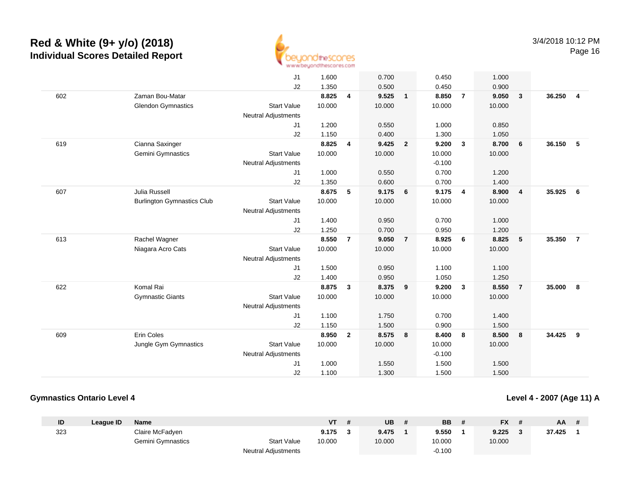

|     |                                   | J <sub>1</sub>             | 1.600  |                | 0.700  |                         | 0.450    |                         | 1.000  |                         |        |                |
|-----|-----------------------------------|----------------------------|--------|----------------|--------|-------------------------|----------|-------------------------|--------|-------------------------|--------|----------------|
|     |                                   | J2                         | 1.350  |                | 0.500  |                         | 0.450    |                         | 0.900  |                         |        |                |
| 602 | Zaman Bou-Matar                   |                            | 8.825  | 4              | 9.525  | $\overline{1}$          | 8.850    | $\overline{7}$          | 9.050  | $\overline{\mathbf{3}}$ | 36.250 | $\overline{4}$ |
|     | <b>Glendon Gymnastics</b>         | <b>Start Value</b>         | 10.000 |                | 10.000 |                         | 10.000   |                         | 10.000 |                         |        |                |
|     |                                   | <b>Neutral Adjustments</b> |        |                |        |                         |          |                         |        |                         |        |                |
|     |                                   | J1                         | 1.200  |                | 0.550  |                         | 1.000    |                         | 0.850  |                         |        |                |
|     |                                   | J2                         | 1.150  |                | 0.400  |                         | 1.300    |                         | 1.050  |                         |        |                |
| 619 | Cianna Saxinger                   |                            | 8.825  | 4              | 9.425  | $\overline{2}$          | 9.200    | $\mathbf{3}$            | 8.700  | 6                       | 36.150 | 5              |
|     | Gemini Gymnastics                 | <b>Start Value</b>         | 10.000 |                | 10.000 |                         | 10.000   |                         | 10.000 |                         |        |                |
|     |                                   | <b>Neutral Adjustments</b> |        |                |        |                         | $-0.100$ |                         |        |                         |        |                |
|     |                                   | J1                         | 1.000  |                | 0.550  |                         | 0.700    |                         | 1.200  |                         |        |                |
|     |                                   | J2                         | 1.350  |                | 0.600  |                         | 0.700    |                         | 1.400  |                         |        |                |
| 607 | <b>Julia Russell</b>              |                            | 8.675  | 5              | 9.175  | $6\overline{6}$         | 9.175    | $\overline{4}$          | 8.900  | $\overline{4}$          | 35.925 | 6              |
|     | <b>Burlington Gymnastics Club</b> | <b>Start Value</b>         | 10.000 |                | 10.000 |                         | 10.000   |                         | 10.000 |                         |        |                |
|     |                                   | <b>Neutral Adjustments</b> |        |                |        |                         |          |                         |        |                         |        |                |
|     |                                   | J1                         | 1.400  |                | 0.950  |                         | 0.700    |                         | 1.000  |                         |        |                |
|     |                                   | J2                         | 1.250  |                | 0.700  |                         | 0.950    |                         | 1.200  |                         |        |                |
| 613 | Rachel Wagner                     |                            | 8.550  | $\overline{7}$ | 9.050  | $\overline{7}$          | 8.925    | 6                       | 8.825  | 5                       | 35.350 | $\overline{7}$ |
|     | Niagara Acro Cats                 | <b>Start Value</b>         | 10.000 |                | 10.000 |                         | 10.000   |                         | 10.000 |                         |        |                |
|     |                                   | <b>Neutral Adjustments</b> |        |                |        |                         |          |                         |        |                         |        |                |
|     |                                   | J1                         | 1.500  |                | 0.950  |                         | 1.100    |                         | 1.100  |                         |        |                |
|     |                                   | J2                         | 1.400  |                | 0.950  |                         | 1.050    |                         | 1.250  |                         |        |                |
| 622 | Komal Rai                         |                            | 8.875  | $\mathbf{3}$   | 8.375  | $\overline{\mathbf{9}}$ | 9.200    | $\overline{\mathbf{3}}$ | 8.550  | $\overline{7}$          | 35,000 | 8              |
|     | <b>Gymnastic Giants</b>           | <b>Start Value</b>         | 10.000 |                | 10.000 |                         | 10.000   |                         | 10.000 |                         |        |                |
|     |                                   | <b>Neutral Adjustments</b> |        |                |        |                         |          |                         |        |                         |        |                |
|     |                                   | J1                         | 1.100  |                | 1.750  |                         | 0.700    |                         | 1.400  |                         |        |                |
|     |                                   | J2                         | 1.150  |                | 1.500  |                         | 0.900    |                         | 1.500  |                         |        |                |
| 609 | Erin Coles                        |                            | 8.950  | $\mathbf{2}$   | 8.575  | 8                       | 8.400    | 8                       | 8.500  | 8                       | 34.425 | 9              |
|     | Jungle Gym Gymnastics             | <b>Start Value</b>         | 10.000 |                | 10.000 |                         | 10.000   |                         | 10.000 |                         |        |                |
|     |                                   | <b>Neutral Adjustments</b> |        |                |        |                         | $-0.100$ |                         |        |                         |        |                |
|     |                                   | J1                         | 1.000  |                | 1.550  |                         | 1.500    |                         | 1.500  |                         |        |                |
|     |                                   | J2                         | 1.100  |                | 1.300  |                         | 1.500    |                         | 1.500  |                         |        |                |
|     |                                   |                            |        |                |        |                         |          |                         |        |                         |        |                |

#### **Gymnastics Ontario Level 4**

**Level 4 - 2007 (Age 11) A**

| ID  | League ID | <b>Name</b>       |                            | ۷T     | UB     | <b>BB</b> | <b>FX</b> | AA     |  |
|-----|-----------|-------------------|----------------------------|--------|--------|-----------|-----------|--------|--|
| 323 |           | Claire McFadyen   |                            | 9.175  | 9.475  | 9.550     | 9.225     | 37.425 |  |
|     |           | Gemini Gymnastics | <b>Start Value</b>         | 10.000 | 10.000 | 10.000    | 10.000    |        |  |
|     |           |                   | <b>Neutral Adjustments</b> |        |        | $-0.100$  |           |        |  |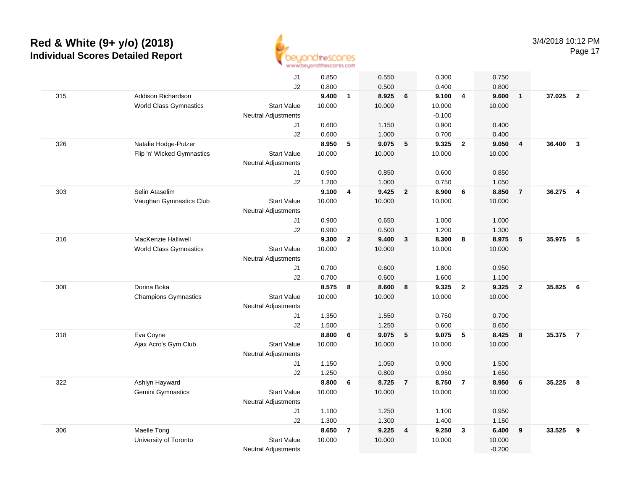

J1 0.850 0.550 0.300 0.750 J2 0.800 0.500 0.400 0.800 315 Addison Richardson **9.400 <sup>1</sup> 8.925 <sup>6</sup> 9.100 <sup>4</sup> 9.600 <sup>1</sup> 37.025 <sup>2</sup>** World Class Gymnastics Start Valuee 10.000 10.000 10.000 10.000 Neutral Adjustments $\sim$  -0.100 0.900 J1 0.600 1.150 0.900 0.400 J2 0.600 1.000 0.700 0.400 326 Natalie Hodge-Putzer **8.950 <sup>5</sup> 9.075 <sup>5</sup> 9.325 <sup>2</sup> 9.050 <sup>4</sup> 36.400 <sup>3</sup>** Flip 'n' Wicked Gymnastics Start Valuee 10.000 10.000 10.000 10.000 Neutral Adjustments J1 0.900 0.850 0.600 0.850 J2 1.200 1.000 0.750 1.050 303 Selin Ataselim **9.100 <sup>4</sup> 9.425 <sup>2</sup> 8.900 <sup>6</sup> 8.850 <sup>7</sup> 36.275 <sup>4</sup>** Vaughan Gymnastics Clubb 3tart Value 10.000 10.000 10.000 10.000 10.000 Neutral Adjustments J1 0.900 0.650 1.000 1.000 J2 0.900 0.500 1.200 1.300 316 MacKenzie Halliwell **9.300 <sup>2</sup> 9.400 <sup>3</sup> 8.300 <sup>8</sup> 8.975 <sup>5</sup> 35.975 <sup>5</sup>** World Class Gymnastics Start Valuee 10.000 10.000 10.000 10.000 Neutral Adjustments J1 0.700 0.600 1.800 0.950 J2 0.700 0.600 1.600 1.100 308 Dorina Boka **8.575 <sup>8</sup> 8.600 <sup>8</sup> 9.325 <sup>2</sup> 9.325 <sup>2</sup> 35.825 <sup>6</sup>** Champions Gymnastics Start Valuee 10.000 10.000 10.000 10.000 Neutral Adjustments J1 1.350 1.550 0.750 0.700 J2 1.500 1.250 0.600 0.650 318 Eva Coyne **8.800 <sup>6</sup> 9.075 <sup>5</sup> 9.075 <sup>5</sup> 8.425 <sup>8</sup> 35.375 <sup>7</sup>** Ajax Acro's Gym Club Start Value 10.000 10.000 10.000 10.000 Neutral Adjustments J1 1.150 1.050 0.900 1.500 J2 1.250 0.800 0.950 1.650 322 Ashlyn Hayward **8.800 <sup>6</sup> 8.725 <sup>7</sup> 8.750 <sup>7</sup> 8.950 <sup>6</sup> 35.225 <sup>8</sup>** Gemini Gymnastics Start Valuee 10.000 10.000 10.000 10.000 Neutral Adjustments J1 1.100 1.250 1.100 0.950 J2 1.300 1.300 1.400 1.150 306 Maelle Tong **8.650 <sup>7</sup> 9.225 <sup>4</sup> 9.250 <sup>3</sup> 6.400 <sup>9</sup> 33.525 <sup>9</sup>** University of Torontoo 3tart Value 10.000 10.000 10.000 10.000 10.000

 $\sim$  -0.200

Neutral Adjustments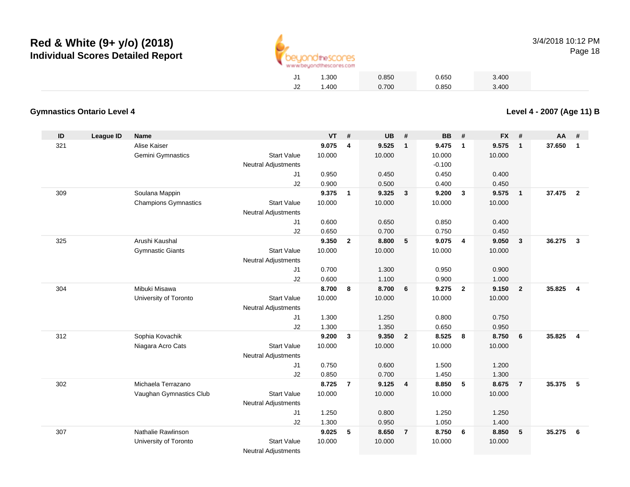

|    | 1.300    | 0.850 | 0.650 | 3.400 |
|----|----------|-------|-------|-------|
| J2 | ـ 400. ا | 0.700 | 0.850 | 3.400 |

#### **Gymnastics Ontario Level 4**

**ID League ID Name VT # UB # BB # FX # AA #** 321 Alise Kaiser **9.075 <sup>4</sup> 9.525 <sup>1</sup> 9.475 <sup>1</sup> 9.575 <sup>1</sup> 37.650 <sup>1</sup>** Gemini Gymnastics Start Valuee 10.000 10.000 10.000 10.000 Neutral Adjustments $-0.100$ 0.450 J1 0.950 0.450 0.450 0.400 J2 0.900 0.500 0.400 0.450 309 Soulana Mappin **9.375 <sup>1</sup> 9.325 <sup>3</sup> 9.200 <sup>3</sup> 9.575 <sup>1</sup> 37.475 <sup>2</sup>** Champions Gymnastics Start Valuee 10.000 10.000 10.000 10.000 Neutral Adjustments J1 0.600 0.650 0.850 0.400 J2 0.650 0.700 0.750 0.450 325 Arushi Kaushal **9.350 <sup>2</sup> 8.800 <sup>5</sup> 9.075 <sup>4</sup> 9.050 <sup>3</sup> 36.275 <sup>3</sup>** Gymnastic Giants Start Valuee 10.000 10.000 10.000 10.000 Neutral Adjustments J1 0.700 1.300 0.950 0.900 J2 0.600 1.100 0.900 1.000 304 Mibuki Misawa **8.700 <sup>8</sup> 8.700 <sup>6</sup> 9.275 <sup>2</sup> 9.150 <sup>2</sup> 35.825 <sup>4</sup>** University of Toronto Start Value 10.000 10.000 10.000 10.000 Neutral Adjustments J1 1.300 1.250 0.800 0.750 J2 1.300 1.350 0.650 0.950 312 Sophia Kovachik **9.200 <sup>3</sup> 9.350 <sup>2</sup> 8.525 <sup>8</sup> 8.750 <sup>6</sup> 35.825 <sup>4</sup>** Niagara Acro Cats Start Valuee 10.000 10.000 10.000 10.000 Neutral Adjustments J1 0.750 0.600 1.500 1.200 J2 0.850 0.700 1.450 1.300 302 Michaela Terrazano **8.725 <sup>7</sup> 9.125 <sup>4</sup> 8.850 <sup>5</sup> 8.675 <sup>7</sup> 35.375 <sup>5</sup>** Vaughan Gymnastics Club Start Value 10.000 10.000 10.000 10.000 Neutral Adjustments J1 1.250 0.800 1.250 1.250 J2 1.300 0.950 1.050 1.400 307 Nathalie Rawlinson **9.025 <sup>5</sup> 8.650 <sup>7</sup> 8.750 <sup>6</sup> 8.850 <sup>5</sup> 35.275 <sup>6</sup>** University of Toronto Start Value 10.000 10.000 10.000 10.000 Neutral Adjustments

**Level 4 - 2007 (Age 11) B**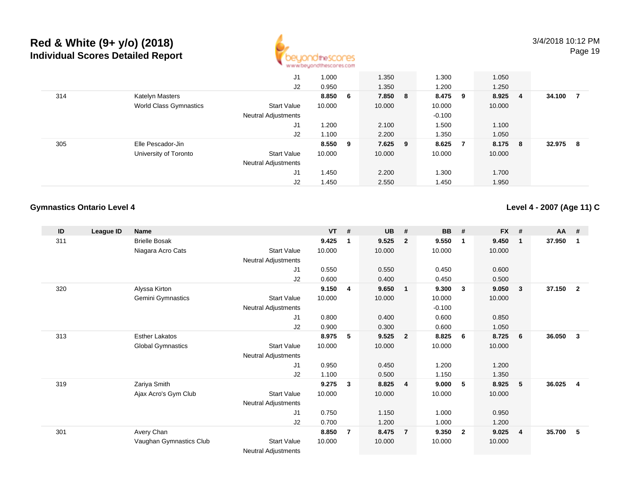

|     |                        | J1                         | 1.000   | 1.350   | 1.300    |     | 1.050  |                |        |    |
|-----|------------------------|----------------------------|---------|---------|----------|-----|--------|----------------|--------|----|
|     |                        | J2                         | 0.950   | 1.350   | 1.200    |     | 1.250  |                |        |    |
| 314 | Katelyn Masters        |                            | 8.850 6 | 7.850 8 | 8.475 9  |     | 8.925  | $\overline{4}$ | 34.100 |    |
|     | World Class Gymnastics | <b>Start Value</b>         | 10.000  | 10.000  | 10.000   |     | 10.000 |                |        |    |
|     |                        | <b>Neutral Adjustments</b> |         |         | $-0.100$ |     |        |                |        |    |
|     |                        | J <sub>1</sub>             | 1.200   | 2.100   | 1.500    |     | 1.100  |                |        |    |
|     |                        | J2                         | 1.100   | 2.200   | 1.350    |     | 1.050  |                |        |    |
| 305 | Elle Pescador-Jin      |                            | 8.550 9 | 7.625 9 | 8.625    | - 7 | 8.175  | -8             | 32.975 | -8 |
|     | University of Toronto  | <b>Start Value</b>         | 10.000  | 10.000  | 10.000   |     | 10.000 |                |        |    |
|     |                        | Neutral Adjustments        |         |         |          |     |        |                |        |    |
|     |                        | J <sub>1</sub>             | 1.450   | 2.200   | 1.300    |     | 1.700  |                |        |    |
|     |                        | J2                         | 1.450   | 2.550   | 1.450    |     | 1.950  |                |        |    |

#### **Gymnastics Ontario Level 4**

**Level 4 - 2007 (Age 11) C**

| ID  | League ID | <b>Name</b>              |                            | <b>VT</b> | # | <b>UB</b> | #              | <b>BB</b> | #              | <b>FX</b> | #              | <b>AA</b> | #              |
|-----|-----------|--------------------------|----------------------------|-----------|---|-----------|----------------|-----------|----------------|-----------|----------------|-----------|----------------|
| 311 |           | <b>Brielle Bosak</b>     |                            | 9.425     | 1 | 9.525     | $\overline{2}$ | 9.550     | -1             | 9.450     | $\mathbf 1$    | 37.950    | -1             |
|     |           | Niagara Acro Cats        | <b>Start Value</b>         | 10.000    |   | 10.000    |                | 10.000    |                | 10.000    |                |           |                |
|     |           |                          | Neutral Adjustments        |           |   |           |                |           |                |           |                |           |                |
|     |           |                          | J1                         | 0.550     |   | 0.550     |                | 0.450     |                | 0.600     |                |           |                |
|     |           |                          | J2                         | 0.600     |   | 0.400     |                | 0.450     |                | 0.500     |                |           |                |
| 320 |           | Alyssa Kirton            |                            | 9.150     | 4 | 9.650     | $\overline{1}$ | 9.300     | $\mathbf{3}$   | 9.050     | 3              | 37.150    | $\overline{2}$ |
|     |           | Gemini Gymnastics        | <b>Start Value</b>         | 10.000    |   | 10.000    |                | 10.000    |                | 10.000    |                |           |                |
|     |           |                          | <b>Neutral Adjustments</b> |           |   |           |                | $-0.100$  |                |           |                |           |                |
|     |           |                          | J1                         | 0.800     |   | 0.400     |                | 0.600     |                | 0.850     |                |           |                |
|     |           |                          | J2                         | 0.900     |   | 0.300     |                | 0.600     |                | 1.050     |                |           |                |
| 313 |           | <b>Esther Lakatos</b>    |                            | 8.975     | 5 | 9.525     | $\overline{2}$ | 8.825     | 6              | 8.725     | 6              | 36.050    | 3              |
|     |           | <b>Global Gymnastics</b> | <b>Start Value</b>         | 10.000    |   | 10.000    |                | 10.000    |                | 10.000    |                |           |                |
|     |           |                          | <b>Neutral Adjustments</b> |           |   |           |                |           |                |           |                |           |                |
|     |           |                          | J1                         | 0.950     |   | 0.450     |                | 1.200     |                | 1.200     |                |           |                |
|     |           |                          | J2                         | 1.100     |   | 0.500     |                | 1.150     |                | 1.350     |                |           |                |
| 319 |           | Zariya Smith             |                            | 9.275     | 3 | 8.825     | $\overline{4}$ | 9.000     | 5              | 8.925     | 5              | 36.025    | $\overline{4}$ |
|     |           | Ajax Acro's Gym Club     | <b>Start Value</b>         | 10.000    |   | 10.000    |                | 10.000    |                | 10.000    |                |           |                |
|     |           |                          | Neutral Adjustments        |           |   |           |                |           |                |           |                |           |                |
|     |           |                          | J1                         | 0.750     |   | 1.150     |                | 1.000     |                | 0.950     |                |           |                |
|     |           |                          | J2                         | 0.700     |   | 1.200     |                | 1.000     |                | 1.200     |                |           |                |
| 301 |           | Avery Chan               |                            | 8.850     | 7 | 8.475     | $\overline{7}$ | 9.350     | $\overline{2}$ | 9.025     | $\overline{4}$ | 35.700    | -5             |
|     |           | Vaughan Gymnastics Club  | <b>Start Value</b>         | 10.000    |   | 10.000    |                | 10.000    |                | 10.000    |                |           |                |
|     |           |                          | <b>Neutral Adjustments</b> |           |   |           |                |           |                |           |                |           |                |